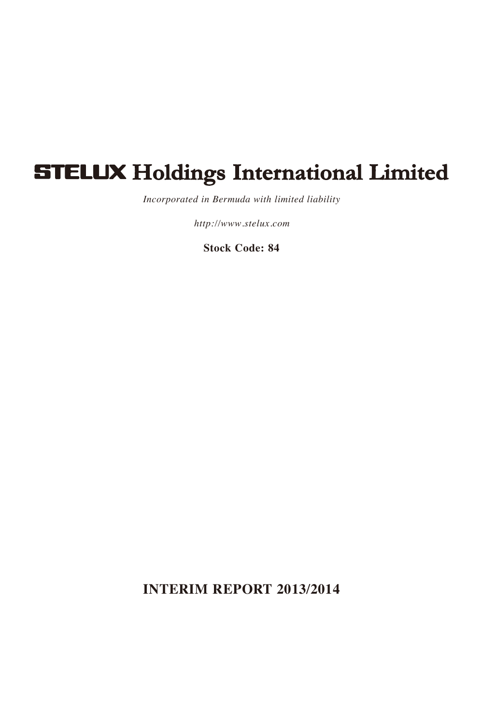# **STELUX Holdings International Limited**

*Incorporated in Bermuda with limited liability*

*http://www.stelux.com*

**Stock Code: 84**

**INTERIM REPORT 2013/2014**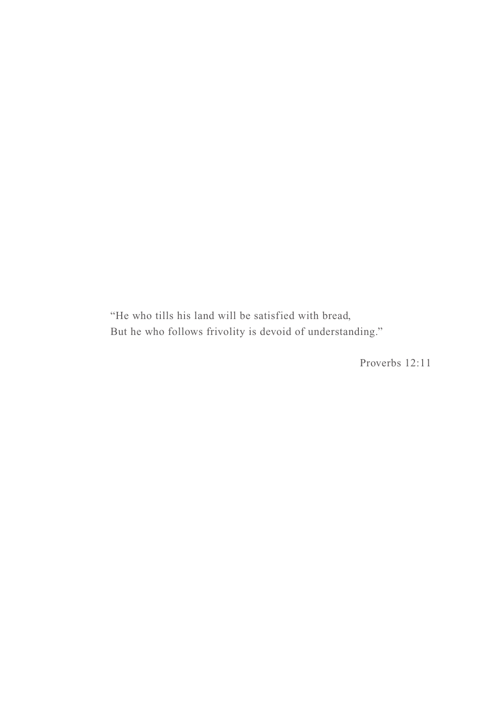"He who tills his land will be satisfied with bread, But he who follows frivolity is devoid of understanding."

Proverbs 12:11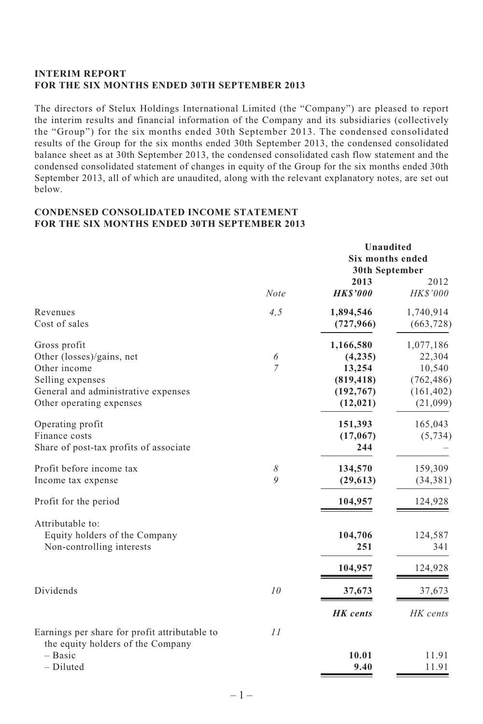## **INTERIM REPORT FOR THE SIX MONTHS ENDED 30TH SEPTEMBER 2013**

The directors of Stelux Holdings International Limited (the "Company") are pleased to report the interim results and financial information of the Company and its subsidiaries (collectively the "Group") for the six months ended 30th September 2013. The condensed consolidated results of the Group for the six months ended 30th September 2013, the condensed consolidated balance sheet as at 30th September 2013, the condensed consolidated cash flow statement and the condensed consolidated statement of changes in equity of the Group for the six months ended 30th September 2013, all of which are unaudited, along with the relevant explanatory notes, are set out below.

## **CONDENSED CONSOLIDATED INCOME STATEMENT FOR THE SIX MONTHS ENDED 30TH SEPTEMBER 2013**

|                                                                                    |                | Unaudited<br>Six months ended<br>30th September |                         |  |
|------------------------------------------------------------------------------------|----------------|-------------------------------------------------|-------------------------|--|
|                                                                                    | <b>Note</b>    | 2013<br><b>HKS'000</b>                          | 2012<br>HK\$'000        |  |
| Revenues<br>Cost of sales                                                          | 4, 5           | 1,894,546<br>(727, 966)                         | 1,740,914<br>(663, 728) |  |
| Gross profit                                                                       |                | 1,166,580                                       | 1,077,186               |  |
| Other (losses)/gains, net                                                          | 6              | (4,235)                                         | 22,304                  |  |
| Other income                                                                       | $\overline{7}$ | 13,254                                          | 10,540                  |  |
| Selling expenses                                                                   |                | (819, 418)                                      | (762, 486)              |  |
| General and administrative expenses                                                |                | (192, 767)                                      | (161, 402)              |  |
| Other operating expenses                                                           |                | (12, 021)                                       | (21,099)                |  |
| Operating profit                                                                   |                | 151,393                                         | 165,043                 |  |
| Finance costs                                                                      |                | (17,067)                                        | (5, 734)                |  |
| Share of post-tax profits of associate                                             |                | 244                                             |                         |  |
| Profit before income tax                                                           | 8              | 134,570                                         | 159,309                 |  |
| Income tax expense                                                                 | $\overline{Q}$ | (29, 613)                                       | (34, 381)               |  |
| Profit for the period                                                              |                | 104,957                                         | 124,928                 |  |
| Attributable to:                                                                   |                |                                                 |                         |  |
| Equity holders of the Company                                                      |                | 104,706                                         | 124,587                 |  |
| Non-controlling interests                                                          |                | 251                                             | 341                     |  |
|                                                                                    |                | 104,957                                         | 124,928                 |  |
| Dividends                                                                          | 10             | 37,673                                          | 37,673                  |  |
|                                                                                    |                | HK cents                                        | HK cents                |  |
| Earnings per share for profit attributable to<br>the equity holders of the Company | 11             |                                                 |                         |  |
| - Basic                                                                            |                | 10.01                                           | 11.91                   |  |
| $-$ Diluted                                                                        |                | 9.40                                            | 11.91                   |  |
|                                                                                    |                |                                                 |                         |  |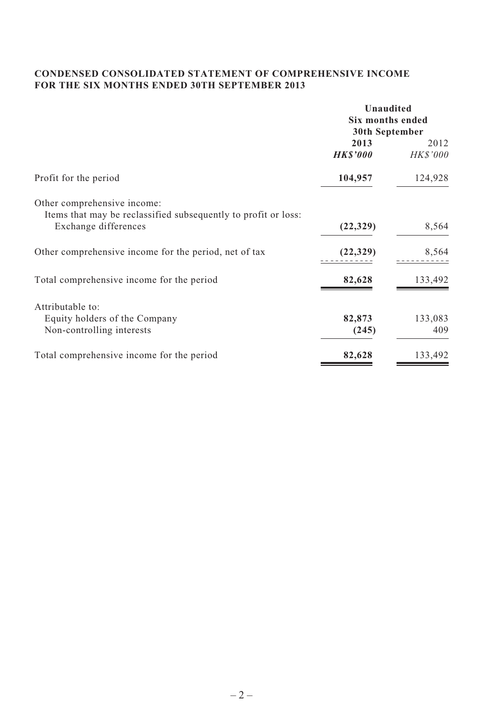# **CONDENSED CONSOLIDATED STATEMENT OF COMPREHENSIVE INCOME FOR THE SIX MONTHS ENDED 30TH SEPTEMBER 2013**

|                                                                                               | Unaudited                          |                |  |
|-----------------------------------------------------------------------------------------------|------------------------------------|----------------|--|
|                                                                                               | Six months ended<br>30th September |                |  |
|                                                                                               |                                    |                |  |
|                                                                                               | 2013                               | 2012           |  |
|                                                                                               | <b>HKS'000</b>                     | <b>HKS'000</b> |  |
| Profit for the period                                                                         | 104,957                            | 124,928        |  |
| Other comprehensive income:<br>Items that may be reclassified subsequently to profit or loss: |                                    |                |  |
| Exchange differences                                                                          | (22, 329)                          | 8,564          |  |
| Other comprehensive income for the period, net of tax                                         | (22, 329)                          | 8,564          |  |
| Total comprehensive income for the period                                                     | 82,628                             | 133,492        |  |
| Attributable to:                                                                              |                                    |                |  |
| Equity holders of the Company                                                                 | 82,873                             | 133,083        |  |
| Non-controlling interests                                                                     | (245)                              | 409            |  |
| Total comprehensive income for the period                                                     | 82,628                             | 133,492        |  |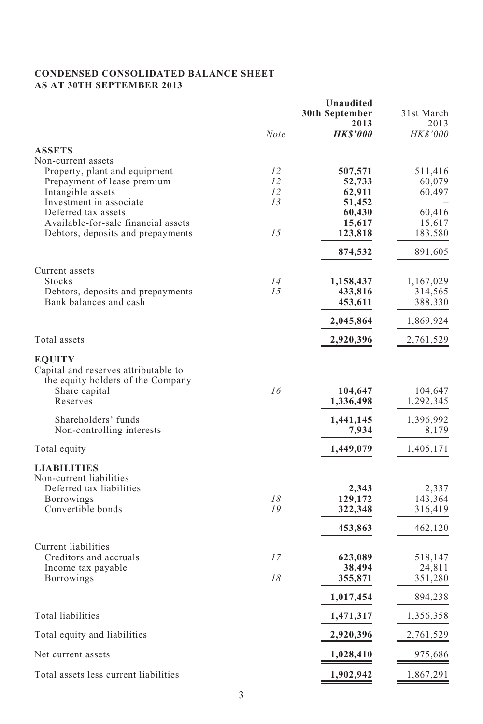# **CONDENSED CONSOLIDATED BALANCE SHEET AS AT 30TH SEPTEMBER 2013**

|                                       |      | Unaudited<br>30th September | 31st March |
|---------------------------------------|------|-----------------------------|------------|
|                                       |      | 2013                        | 2013       |
|                                       | Note | <b>HK\$'000</b>             | HK\$'000   |
| <b>ASSETS</b>                         |      |                             |            |
| Non-current assets                    |      |                             |            |
| Property, plant and equipment         | 12   | 507,571                     | 511,416    |
| Prepayment of lease premium           | 12   | 52,733                      | 60,079     |
| Intangible assets                     | 12   | 62,911                      | 60,497     |
| Investment in associate               | 13   | 51,452                      |            |
| Deferred tax assets                   |      | 60,430                      | 60,416     |
| Available-for-sale financial assets   |      | 15,617                      | 15,617     |
| Debtors, deposits and prepayments     | 1.5  | 123,818                     | 183,580    |
|                                       |      | 874,532                     | 891,605    |
| Current assets                        |      |                             |            |
| Stocks                                | 14   | 1,158,437                   | 1,167,029  |
| Debtors, deposits and prepayments     | 15   | 433,816                     | 314,565    |
| Bank balances and cash                |      | 453,611                     | 388,330    |
|                                       |      | 2,045,864                   | 1,869,924  |
| Total assets                          |      | 2,920,396                   | 2,761,529  |
| <b>EQUITY</b>                         |      |                             |            |
| Capital and reserves attributable to  |      |                             |            |
| the equity holders of the Company     |      |                             |            |
| Share capital                         | 16   | 104,647                     | 104,647    |
| Reserves                              |      | 1,336,498                   | 1,292,345  |
|                                       |      |                             |            |
| Shareholders' funds                   |      | 1,441,145                   | 1,396,992  |
| Non-controlling interests             |      | 7,934                       | 8,179      |
| Total equity                          |      | 1,449,079                   | 1,405,171  |
| <b>LIABILITIES</b>                    |      |                             |            |
| Non-current liabilities               |      |                             |            |
| Deferred tax liabilities              |      | 2,343                       | 2,337      |
| Borrowings                            | 18   | 129,172                     | 143,364    |
| Convertible bonds                     | 19   | 322,348                     | 316,419    |
|                                       |      | 453,863                     | 462,120    |
| Current liabilities                   |      |                             |            |
| Creditors and accruals                | 17   | 623,089                     | 518,147    |
| Income tax payable                    |      | 38,494                      | 24,811     |
| <b>Borrowings</b>                     | 18   | 355,871                     | 351,280    |
|                                       |      | 1,017,454                   | 894,238    |
| Total liabilities                     |      | 1,471,317                   | 1,356,358  |
| Total equity and liabilities          |      | 2,920,396                   | 2,761,529  |
| Net current assets                    |      | 1,028,410                   | 975,686    |
| Total assets less current liabilities |      | 1,902,942                   | 1,867,291  |
|                                       |      |                             |            |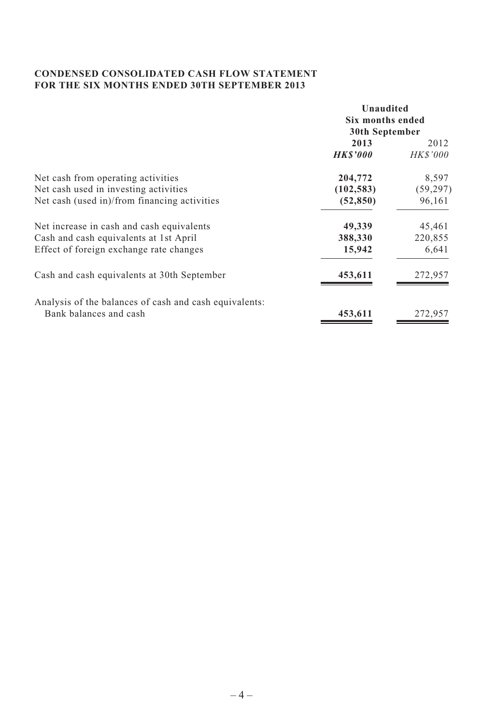## **CONDENSED CONSOLIDATED CASH FLOW STATEMENT FOR THE SIX MONTHS ENDED 30TH SEPTEMBER 2013**

| Unaudited        |                 |  |
|------------------|-----------------|--|
| Six months ended |                 |  |
| 30th September   |                 |  |
| 2013             | 2012            |  |
| <b>HKS'000</b>   | <b>HK\$'000</b> |  |
| 204,772          | 8,597           |  |
| (102, 583)       | (59, 297)       |  |
| (52, 850)        | 96,161          |  |
| 49,339           | 45,461          |  |
| 388,330          | 220,855         |  |
| 15,942           | 6,641           |  |
| 453,611          | 272,957         |  |
|                  |                 |  |
| 453,611          | 272,957         |  |
|                  |                 |  |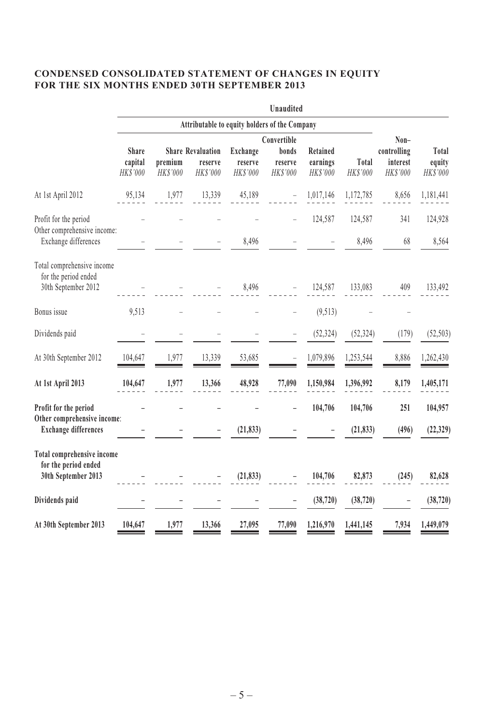# **CONDENSED CONSOLIDATED STATEMENT OF CHANGES IN EQUITY FOR THE SIX MONTHS ENDED 30TH SEPTEMBER 2013**

|                                                                           |                                               |                           |                                                 |                                 | Unaudited                    |                                  |                   |                                             |                             |
|---------------------------------------------------------------------------|-----------------------------------------------|---------------------------|-------------------------------------------------|---------------------------------|------------------------------|----------------------------------|-------------------|---------------------------------------------|-----------------------------|
|                                                                           | Attributable to equity holders of the Company |                           |                                                 |                                 |                              |                                  |                   |                                             |                             |
|                                                                           |                                               |                           |                                                 |                                 | Convertible                  |                                  |                   | Non-<br>controlling<br>interest<br>HK\$'000 |                             |
|                                                                           | <b>Share</b><br>capital<br>HK\$'000           | premium<br><b>HKS'000</b> | <b>Share Revaluation</b><br>reserve<br>HK\$'000 | Exchange<br>reserve<br>HK\$'000 | bonds<br>reserve<br>HK\$'000 | Retained<br>earnings<br>HK\$'000 | Total<br>HK\$'000 |                                             | Total<br>equity<br>HK\$'000 |
| At 1st April 2012                                                         | 95,134                                        | 1,977                     | 13,339                                          | 45,189                          |                              | 1,017,146                        | 1,172,785         | 8,656                                       | 1,181,441                   |
| Profit for the period<br>Other comprehensive income:                      |                                               |                           |                                                 |                                 |                              | 124,587                          | 124,587           | 341                                         | 124,928                     |
| Exchange differences                                                      |                                               |                           |                                                 | 8,496                           |                              |                                  | 8,496             | 68                                          | 8,564                       |
| Total comprehensive income<br>for the period ended<br>30th September 2012 |                                               |                           |                                                 | 8,496                           |                              | 124,587                          | 133,083           | 409                                         | 133,492                     |
| Bonus issue                                                               | 9,513                                         |                           |                                                 |                                 |                              | (9, 513)                         |                   |                                             |                             |
| Dividends paid                                                            |                                               |                           |                                                 |                                 |                              | (52, 324)                        | (52, 324)         | (179)                                       | (52, 503)                   |
| At 30th September 2012                                                    | 104,647                                       | 1,977                     | 13,339                                          | 53,685                          |                              | 1,079,896                        | 1,253,544         | 8,886                                       | 1,262,430                   |
| At 1st April 2013                                                         | 104,647                                       | 1,977                     | 13,366                                          | 48,928                          | 77,090                       | 1,150,984                        | 1,396,992         | 8,179                                       | 1,405,171                   |
| Profit for the period                                                     |                                               |                           |                                                 |                                 |                              | 104,706                          | 104,706           | 251                                         | 104,957                     |
| Other comprehensive income:<br><b>Exchange differences</b>                |                                               |                           |                                                 | (21, 833)                       |                              |                                  | (21, 833)         | (496)                                       | (22, 329)                   |
| Total comprehensive income<br>for the period ended                        |                                               |                           |                                                 |                                 |                              |                                  |                   |                                             |                             |
| 30th September 2013                                                       |                                               |                           |                                                 | (21, 833)                       |                              | 104,706                          | 82,873            | (245)                                       | 82,628                      |
| Dividends paid                                                            |                                               |                           |                                                 |                                 |                              | (38, 720)                        | (38, 720)         |                                             | (38, 720)                   |
| At 30th September 2013                                                    | 104,647                                       | 1,977                     | 13,366                                          | 27,095                          | 77,090                       | 1,216,970                        | 1,441,145         | 7,934                                       | 1,449,079                   |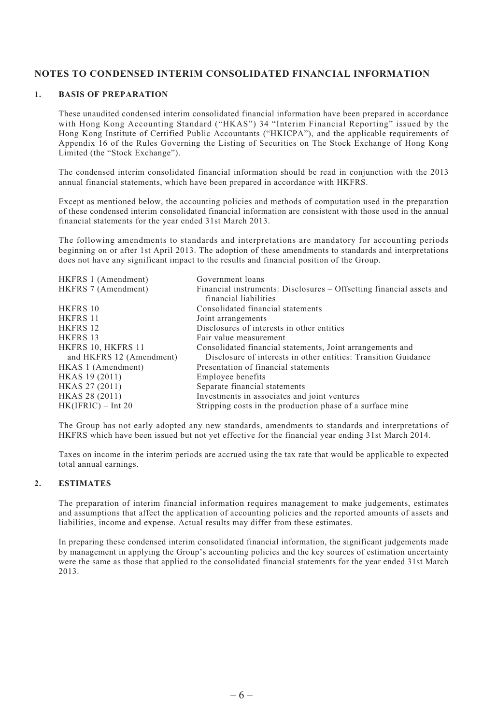# **NOTES TO CONDENSED INTERIM CONSOLIDATED FINANCIAL INFORMATION**

#### **1. BASIS OF PREPARATION**

These unaudited condensed interim consolidated financial information have been prepared in accordance with Hong Kong Accounting Standard ("HKAS") 34 "Interim Financial Reporting" issued by the Hong Kong Institute of Certified Public Accountants ("HKICPA"), and the applicable requirements of Appendix 16 of the Rules Governing the Listing of Securities on The Stock Exchange of Hong Kong Limited (the "Stock Exchange").

The condensed interim consolidated financial information should be read in conjunction with the 2013 annual financial statements, which have been prepared in accordance with HKFRS.

Except as mentioned below, the accounting policies and methods of computation used in the preparation of these condensed interim consolidated financial information are consistent with those used in the annual financial statements for the year ended 31st March 2013.

The following amendments to standards and interpretations are mandatory for accounting periods beginning on or after 1st April 2013. The adoption of these amendments to standards and interpretations does not have any significant impact to the results and financial position of the Group.

| HKFRS 1 (Amendment)      | Government loans                                                     |
|--------------------------|----------------------------------------------------------------------|
| HKFRS 7 (Amendment)      | Financial instruments: Disclosures – Offsetting financial assets and |
|                          | financial liabilities                                                |
| <b>HKFRS 10</b>          | Consolidated financial statements                                    |
| HKFRS 11                 | Joint arrangements                                                   |
| HKFRS 12                 | Disclosures of interests in other entities                           |
| <b>HKFRS 13</b>          | Fair value measurement                                               |
| HKFRS 10, HKFRS 11       | Consolidated financial statements, Joint arrangements and            |
| and HKFRS 12 (Amendment) | Disclosure of interests in other entities: Transition Guidance       |
| HKAS 1 (Amendment)       | Presentation of financial statements                                 |
| HKAS 19 (2011)           | Employee benefits                                                    |
| HKAS 27 (2011)           | Separate financial statements                                        |
| HKAS 28 (2011)           | Investments in associates and joint ventures                         |
| HK(IFRIC) – Int 20       | Stripping costs in the production phase of a surface mine            |
|                          |                                                                      |

The Group has not early adopted any new standards, amendments to standards and interpretations of HKFRS which have been issued but not yet effective for the financial year ending 31st March 2014.

Taxes on income in the interim periods are accrued using the tax rate that would be applicable to expected total annual earnings.

#### **2. ESTIMATES**

The preparation of interim financial information requires management to make judgements, estimates and assumptions that affect the application of accounting policies and the reported amounts of assets and liabilities, income and expense. Actual results may differ from these estimates.

In preparing these condensed interim consolidated financial information, the significant judgements made by management in applying the Group's accounting policies and the key sources of estimation uncertainty were the same as those that applied to the consolidated financial statements for the year ended 31st March 2013.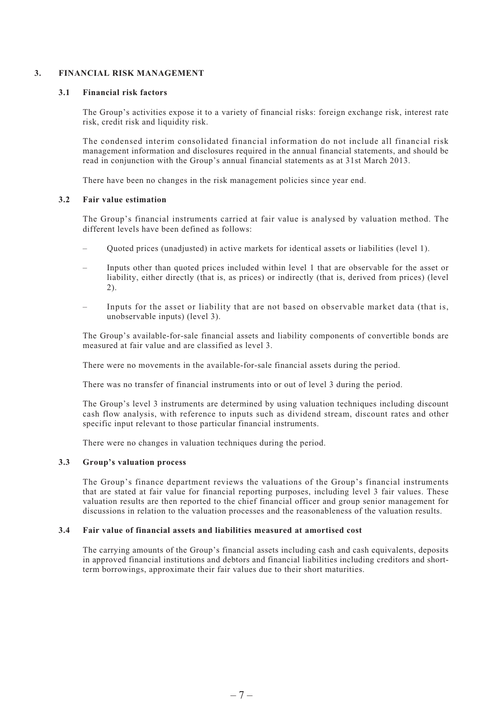#### **3. FINANCIAL RISK MANAGEMENT**

#### **3.1 Financial risk factors**

The Group's activities expose it to a variety of financial risks: foreign exchange risk, interest rate risk, credit risk and liquidity risk.

The condensed interim consolidated financial information do not include all financial risk management information and disclosures required in the annual financial statements, and should be read in conjunction with the Group's annual financial statements as at 31st March 2013.

There have been no changes in the risk management policies since year end.

#### **3.2 Fair value estimation**

The Group's financial instruments carried at fair value is analysed by valuation method. The different levels have been defined as follows:

- Quoted prices (unadjusted) in active markets for identical assets or liabilities (level 1).
- Inputs other than quoted prices included within level 1 that are observable for the asset or liability, either directly (that is, as prices) or indirectly (that is, derived from prices) (level 2).
- Inputs for the asset or liability that are not based on observable market data (that is, unobservable inputs) (level 3).

The Group's available-for-sale financial assets and liability components of convertible bonds are measured at fair value and are classified as level 3.

There were no movements in the available-for-sale financial assets during the period.

There was no transfer of financial instruments into or out of level 3 during the period.

The Group's level 3 instruments are determined by using valuation techniques including discount cash flow analysis, with reference to inputs such as dividend stream, discount rates and other specific input relevant to those particular financial instruments.

There were no changes in valuation techniques during the period.

#### **3.3 Group's valuation process**

The Group's finance department reviews the valuations of the Group's financial instruments that are stated at fair value for financial reporting purposes, including level 3 fair values. These valuation results are then reported to the chief financial officer and group senior management for discussions in relation to the valuation processes and the reasonableness of the valuation results.

#### **3.4 Fair value of financial assets and liabilities measured at amortised cost**

The carrying amounts of the Group's financial assets including cash and cash equivalents, deposits in approved financial institutions and debtors and financial liabilities including creditors and shortterm borrowings, approximate their fair values due to their short maturities.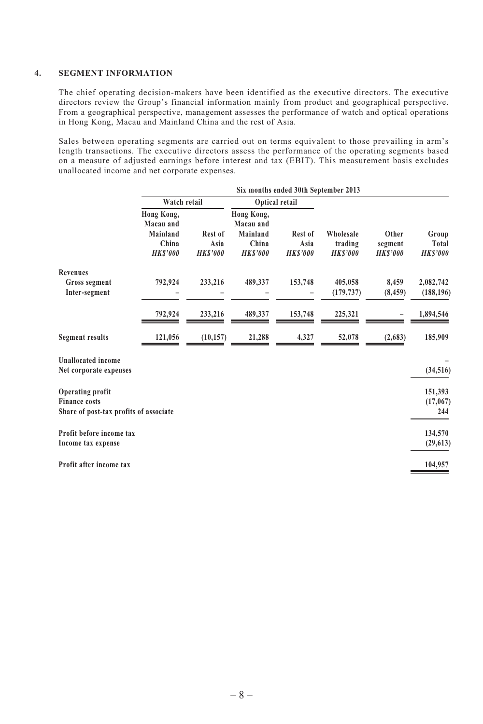#### **4. SEGMENT INFORMATION**

The chief operating decision-makers have been identified as the executive directors. The executive directors review the Group's financial information mainly from product and geographical perspective. From a geographical perspective, management assesses the performance of watch and optical operations in Hong Kong, Macau and Mainland China and the rest of Asia.

Sales between operating segments are carried out on terms equivalent to those prevailing in arm's length transactions. The executive directors assess the performance of the operating segments based on a measure of adjusted earnings before interest and tax (EBIT). This measurement basis excludes unallocated income and net corporate expenses.

|                                                                                    | Six months ended 30th September 2013                           |                                   |                                                                |                                   |                                        |                                    |                                  |
|------------------------------------------------------------------------------------|----------------------------------------------------------------|-----------------------------------|----------------------------------------------------------------|-----------------------------------|----------------------------------------|------------------------------------|----------------------------------|
|                                                                                    | Watch retail                                                   |                                   |                                                                | Optical retail                    |                                        |                                    |                                  |
|                                                                                    | Hong Kong,<br>Macau and<br>Mainland<br>China<br><b>HKS'000</b> | Rest of<br>Asia<br><b>HKS'000</b> | Hong Kong,<br>Macau and<br>Mainland<br>China<br><b>HKS'000</b> | Rest of<br>Asia<br><b>HKS'000</b> | Wholesale<br>trading<br><b>HKS'000</b> | Other<br>segment<br><b>HKS'000</b> | Group<br>Total<br><b>HKS'000</b> |
| <b>Revenues</b>                                                                    |                                                                |                                   |                                                                |                                   |                                        |                                    |                                  |
| Gross segment<br>Inter-segment                                                     | 792,924                                                        | 233,216                           | 489,337                                                        | 153,748                           | 405,058<br>(179, 737)                  | 8,459<br>(8, 459)                  | 2,082,742<br>(188, 196)          |
|                                                                                    | 792,924                                                        | 233,216                           | 489,337                                                        | 153,748                           | 225,321                                |                                    | 1,894,546                        |
| <b>Segment results</b>                                                             | 121,056                                                        | (10, 157)                         | 21,288                                                         | 4,327                             | 52,078                                 | (2,683)                            | 185,909                          |
| <b>Unallocated</b> income<br>Net corporate expenses                                |                                                                |                                   |                                                                |                                   |                                        |                                    | (34, 516)                        |
| Operating profit<br><b>Finance costs</b><br>Share of post-tax profits of associate |                                                                |                                   |                                                                |                                   |                                        |                                    | 151,393<br>(17,067)<br>244       |
| Profit before income tax<br>Income tax expense                                     |                                                                |                                   |                                                                |                                   |                                        |                                    | 134,570<br>(29, 613)             |
| Profit after income tax                                                            |                                                                |                                   |                                                                |                                   |                                        |                                    | 104,957                          |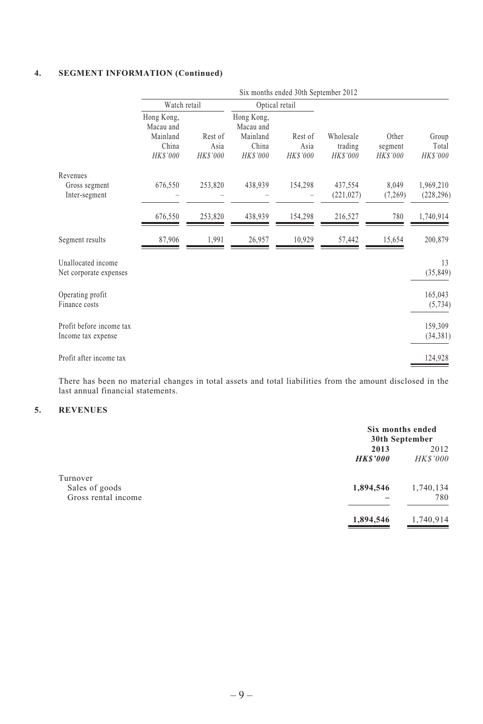## **4. SEGMENT INFORMATION (Continued)**

|                                                | Six months ended 30th September 2012                     |                             |                                                          |                             |                                  |                                     |                            |
|------------------------------------------------|----------------------------------------------------------|-----------------------------|----------------------------------------------------------|-----------------------------|----------------------------------|-------------------------------------|----------------------------|
|                                                | Watch retail                                             |                             | Optical retail                                           |                             |                                  |                                     |                            |
|                                                | Hong Kong,<br>Macau and<br>Mainland<br>China<br>HK\$'000 | Rest of<br>Asia<br>HK\$'000 | Hong Kong,<br>Macau and<br>Mainland<br>China<br>HK\$'000 | Rest of<br>Asia<br>HK\$'000 | Wholesale<br>trading<br>HK\$'000 | Other<br>segment<br><b>HK\$'000</b> | Group<br>Total<br>HK\$'000 |
| Revenues<br>Gross segment<br>Inter-segment     | 676,550                                                  | 253,820                     | 438,939                                                  | 154,298                     | 437,554<br>(221, 027)            | 8,049<br>(7,269)                    | 1,969,210<br>(228, 296)    |
|                                                | 676,550                                                  | 253,820                     | 438,939                                                  | 154,298                     | 216,527                          | 780                                 | 1,740,914                  |
| Segment results                                | 87,906                                                   | 1,991                       | 26,957                                                   | 10,929                      | 57,442                           | 15,654                              | 200,879                    |
| Unallocated income<br>Net corporate expenses   |                                                          |                             |                                                          |                             |                                  |                                     | 13<br>(35, 849)            |
| Operating profit<br>Finance costs              |                                                          |                             |                                                          |                             |                                  |                                     | 165,043<br>(5, 734)        |
| Profit before income tax<br>Income tax expense |                                                          |                             |                                                          |                             |                                  |                                     | 159,309<br>(34, 381)       |
| Profit after income tax                        |                                                          |                             |                                                          |                             |                                  |                                     | 124,928                    |

There has been no material changes in total assets and total liabilities from the amount disclosed in the last annual financial statements.

# **5. REVENUES**

|                                       |                | Six months ended<br>30th September |
|---------------------------------------|----------------|------------------------------------|
|                                       | 2013           | 2012                               |
|                                       | <b>HKS'000</b> | <b>HKS'000</b>                     |
| Turnover                              | 1,894,546      | 1,740,134                          |
| Sales of goods<br>Gross rental income |                | 780                                |
|                                       | 1,894,546      | 1,740,914                          |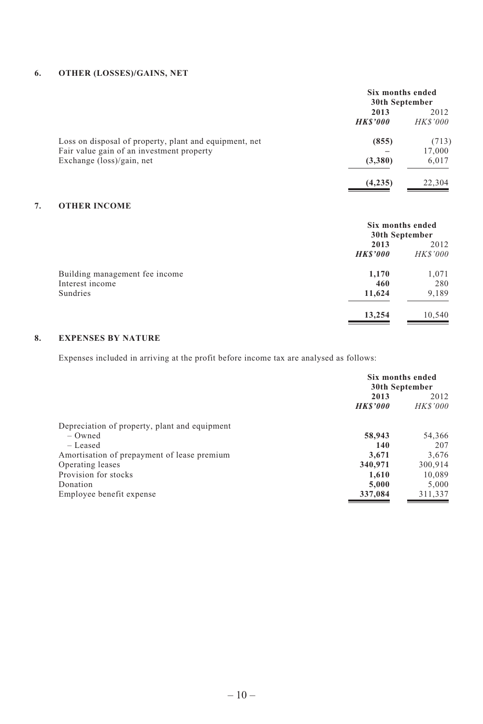# **6. OTHER (LOSSES)/GAINS, NET**

|                                                                                                     | Six months ended<br>30th September |                         |  |
|-----------------------------------------------------------------------------------------------------|------------------------------------|-------------------------|--|
|                                                                                                     | 2013<br><b>HKS'000</b>             | 2012<br><i>HK\$'000</i> |  |
| Loss on disposal of property, plant and equipment, net<br>Fair value gain of an investment property | (855)                              | (713)<br>17,000         |  |
| Exchange $(\text{loss})/\text{gain}$ , net                                                          | (3,380)                            | 6,017                   |  |
|                                                                                                     | (4,235)                            | 22,304                  |  |

# **7. OTHER INCOME**

|                                | Six months ended<br>30th September |                 |  |
|--------------------------------|------------------------------------|-----------------|--|
|                                | 2013                               |                 |  |
|                                | <b>HKS'000</b>                     | <b>HK\$'000</b> |  |
| Building management fee income | 1,170                              | 1,071           |  |
| Interest income                | 460                                | 280             |  |
| Sundries                       | 11,624                             | 9,189           |  |
|                                | 13,254                             | 10,540          |  |

# **8. EXPENSES BY NATURE**

Expenses included in arriving at the profit before income tax are analysed as follows:

|                                               | Six months ended<br>30th September |                 |  |
|-----------------------------------------------|------------------------------------|-----------------|--|
|                                               | 2013                               | 2012            |  |
|                                               | <b>HKS'000</b>                     | <b>HK\$'000</b> |  |
| Depreciation of property, plant and equipment |                                    |                 |  |
| $-$ Owned                                     | 58,943                             | 54,366          |  |
| - Leased                                      | 140                                | 207             |  |
| Amortisation of prepayment of lease premium   | 3.671                              | 3.676           |  |
| Operating leases                              | 340,971                            | 300.914         |  |
| Provision for stocks                          | 1.610                              | 10.089          |  |
| Donation                                      | 5.000                              | 5,000           |  |
| Employee benefit expense                      | 337,084                            | 311,337         |  |
|                                               |                                    |                 |  |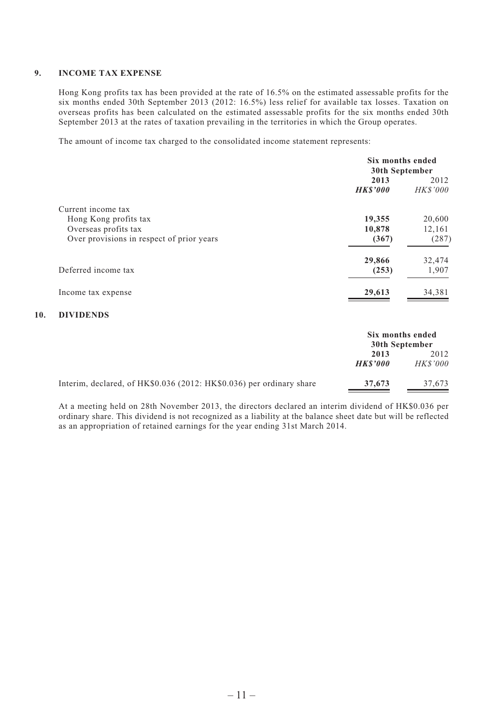#### **9. INCOME TAX EXPENSE**

Hong Kong profits tax has been provided at the rate of 16.5% on the estimated assessable profits for the six months ended 30th September 2013 (2012: 16.5%) less relief for available tax losses. Taxation on overseas profits has been calculated on the estimated assessable profits for the six months ended 30th September 2013 at the rates of taxation prevailing in the territories in which the Group operates.

The amount of income tax charged to the consolidated income statement represents:

|                                           | Six months ended<br>30th September |                        |
|-------------------------------------------|------------------------------------|------------------------|
|                                           | 2013<br><b>HKS'000</b>             | 2012<br><b>HKS'000</b> |
| Current income tax                        |                                    |                        |
| Hong Kong profits tax                     | 19,355                             | 20,600                 |
| Overseas profits tax                      | 10,878                             | 12.161                 |
| Over provisions in respect of prior years | (367)                              | (287)                  |
|                                           | 29,866                             | 32,474                 |
| Deferred income tax                       | (253)                              | 1,907                  |
| Income tax expense                        | 29,613                             | 34,381                 |

#### **10. DIVIDENDS**

|                                                                      | Six months ended<br>30th September |                        |
|----------------------------------------------------------------------|------------------------------------|------------------------|
|                                                                      | 2013<br><b>HKS'000</b>             | 2012<br><b>HKS'000</b> |
| Interim, declared, of HK\$0.036 (2012: HK\$0.036) per ordinary share | 37,673                             | 37.673                 |

At a meeting held on 28th November 2013, the directors declared an interim dividend of HK\$0.036 per ordinary share. This dividend is not recognized as a liability at the balance sheet date but will be reflected as an appropriation of retained earnings for the year ending 31st March 2014.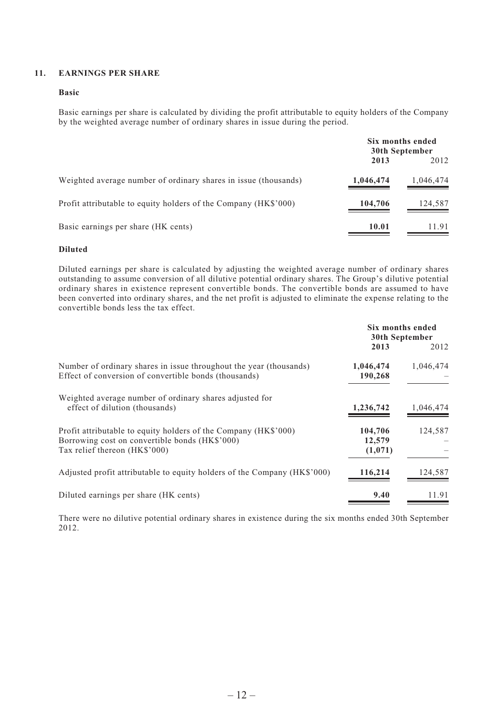## **11. EARNINGS PER SHARE**

#### **Basic**

Basic earnings per share is calculated by dividing the profit attributable to equity holders of the Company by the weighted average number of ordinary shares in issue during the period.

|                                                                 | Six months ended<br>30th September |           |
|-----------------------------------------------------------------|------------------------------------|-----------|
|                                                                 | 2013                               | 2012      |
| Weighted average number of ordinary shares in issue (thousands) | 1,046,474                          | 1,046,474 |
| Profit attributable to equity holders of the Company (HK\$'000) | 104.706                            | 124,587   |
| Basic earnings per share (HK cents)                             | 10.01                              | 11.91     |

#### **Diluted**

Diluted earnings per share is calculated by adjusting the weighted average number of ordinary shares outstanding to assume conversion of all dilutive potential ordinary shares. The Group's dilutive potential ordinary shares in existence represent convertible bonds. The convertible bonds are assumed to have been converted into ordinary shares, and the net profit is adjusted to eliminate the expense relating to the convertible bonds less the tax effect.

|                                                                                                                                                    | Six months ended<br>30th September |           |
|----------------------------------------------------------------------------------------------------------------------------------------------------|------------------------------------|-----------|
|                                                                                                                                                    | 2013                               | 2012      |
| Number of ordinary shares in issue throughout the year (thousands)<br>Effect of conversion of convertible bonds (thousands)                        | 1,046,474<br>190,268               | 1,046,474 |
| Weighted average number of ordinary shares adjusted for<br>effect of dilution (thousands)                                                          | 1,236,742                          | 1,046,474 |
| Profit attributable to equity holders of the Company (HK\$'000)<br>Borrowing cost on convertible bonds (HK\$'000)<br>Tax relief thereon (HK\$'000) | 104,706<br>12,579<br>(1,071)       | 124.587   |
| Adjusted profit attributable to equity holders of the Company (HK\$'000)                                                                           | 116,214                            | 124,587   |
| Diluted earnings per share (HK cents)                                                                                                              | 9.40                               | 11.91     |

There were no dilutive potential ordinary shares in existence during the six months ended 30th September 2012.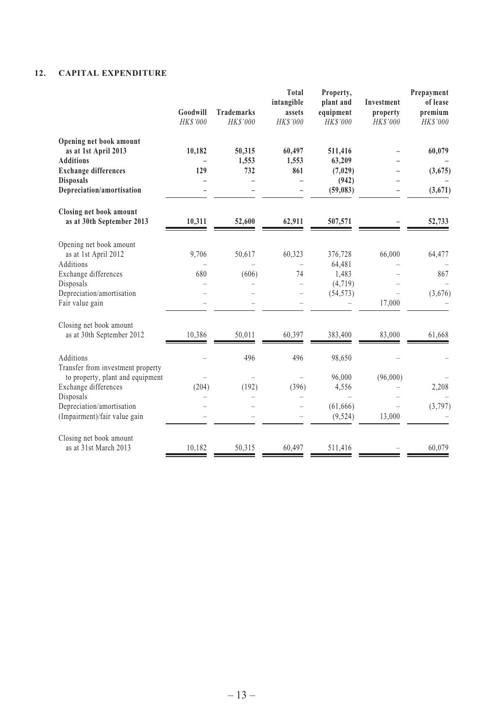# **12. CAPITAL EXPENDITURE**

|                                                                       | Goodwill<br>HK\$'000 | <b>Trademarks</b><br>HK\$'000 | Total<br>intangible<br>assets<br><b>HKS'000</b> | Property,<br>plant and<br>equipment<br>HKS'000 | <b>Investment</b><br>property<br>HK\$'000 | Prepayment<br>of lease<br>premium<br>HK\$'000 |
|-----------------------------------------------------------------------|----------------------|-------------------------------|-------------------------------------------------|------------------------------------------------|-------------------------------------------|-----------------------------------------------|
| Opening net book amount<br>as at 1st April 2013                       | 10,182               | 50,315                        | 60,497                                          | 511,416                                        |                                           | 60,079                                        |
| <b>Additions</b><br><b>Exchange differences</b>                       | 129                  | 1,553<br>732                  | 1,553<br>861                                    | 63,209<br>(7,029)                              |                                           | (3,675)                                       |
| <b>Disposals</b><br>Depreciation/amortisation                         |                      |                               |                                                 | (942)<br>(59, 083)                             |                                           | (3,671)                                       |
| Closing net book amount<br>as at 30th September 2013                  | 10,311               | 52.600                        | 62.911                                          | 507,571                                        |                                           | 52,733                                        |
| Opening net book amount<br>as at 1st April 2012                       | 9,706                | 50,617                        | 60,323                                          | 376,728                                        | 66,000                                    | 64,477                                        |
| Additions<br>Exchange differences<br>Disposals                        | 680                  | (606)                         | 74                                              | 64,481<br>1,483<br>(4, 719)                    |                                           | 867                                           |
| Depreciation/amortisation<br>Fair value gain                          |                      |                               |                                                 | (54, 573)                                      | 17,000                                    | (3,676)                                       |
| Closing net book amount<br>as at 30th September 2012                  | 10,386               | 50,011                        | 60,397                                          | 383,400                                        | 83,000                                    | 61,668                                        |
| Additions<br>Transfer from investment property                        |                      | 496                           | 496                                             | 98,650                                         |                                           |                                               |
| to property, plant and equipment<br>Exchange differences<br>Disposals | (204)                | (192)                         | (396)                                           | 96,000<br>4,556                                | (96,000)                                  | 2,208                                         |
| Depreciation/amortisation<br>(Impairment)/fair value gain             |                      |                               |                                                 | (61, 666)<br>(9, 524)                          | 13,000                                    | (3,797)                                       |
| Closing net book amount<br>as at 31st March 2013                      | 10,182               | 50,315                        | 60,497                                          | 511,416                                        |                                           | 60,079                                        |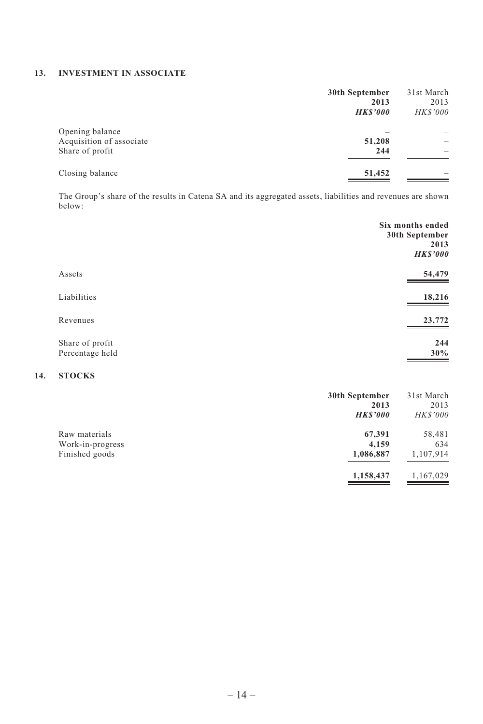# **13. INVESTMENT IN ASSOCIATE**

|                                                                | 30th September<br>2013<br><b>HKS'000</b> | 31st March<br>2013<br><b>HKS'000</b> |
|----------------------------------------------------------------|------------------------------------------|--------------------------------------|
| Opening balance<br>Acquisition of associate<br>Share of profit | 51,208<br>244                            | $\overline{\phantom{a}}$             |
| Closing balance                                                | 51,452                                   |                                      |

The Group's share of the results in Catena SA and its aggregated assets, liabilities and revenues are shown below:

|                                    | Six months ended<br>30th September<br>2013<br><b>HKS'000</b> |
|------------------------------------|--------------------------------------------------------------|
| Assets                             | 54,479                                                       |
| Liabilities                        | 18,216                                                       |
| Revenues                           | 23,772                                                       |
| Share of profit<br>Percentage held | 244<br>30%                                                   |

# **14. STOCKS**

|                  | 30th September<br>2013 | 31st March<br>2013 |
|------------------|------------------------|--------------------|
|                  | <b>HKS'000</b>         | <b>HK\$'000</b>    |
| Raw materials    | 67,391                 | 58,481             |
| Work-in-progress | 4,159                  | 634                |
| Finished goods   | 1,086,887              | 1,107,914          |
|                  | 1,158,437              | 1,167,029          |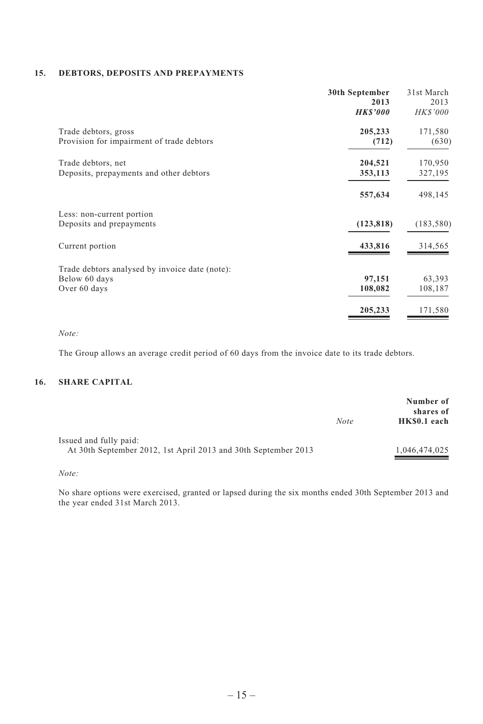#### **15. DEBTORS, DEPOSITS AND PREPAYMENTS**

|                                                | 30th September<br>2013<br><b>HKS'000</b> | 31st March<br>2013<br><b>HK\$'000</b> |
|------------------------------------------------|------------------------------------------|---------------------------------------|
| Trade debtors, gross                           | 205,233                                  | 171,580                               |
| Provision for impairment of trade debtors      | (712)                                    | (630)                                 |
| Trade debtors, net                             | 204,521                                  | 170,950                               |
| Deposits, prepayments and other debtors        | 353,113                                  | 327,195                               |
|                                                | 557,634                                  | 498,145                               |
| Less: non-current portion                      |                                          |                                       |
| Deposits and prepayments                       | (123, 818)                               | (183, 580)                            |
| Current portion                                | 433,816                                  | 314,565                               |
| Trade debtors analysed by invoice date (note): |                                          |                                       |
| Below 60 days                                  | 97,151                                   | 63,393                                |
| Over 60 days                                   | 108,082                                  | 108,187                               |
|                                                | 205,233                                  | 171,580                               |

*Note:*

The Group allows an average credit period of 60 days from the invoice date to its trade debtors.

# **16. SHARE CAPITAL**

|                                                                |             | Number of<br>shares of |
|----------------------------------------------------------------|-------------|------------------------|
|                                                                | <b>Note</b> | HK\$0.1 each           |
| Issued and fully paid:                                         |             |                        |
| At 30th September 2012, 1st April 2013 and 30th September 2013 |             | 1,046,474,025          |

*Note:*

No share options were exercised, granted or lapsed during the six months ended 30th September 2013 and the year ended 31st March 2013.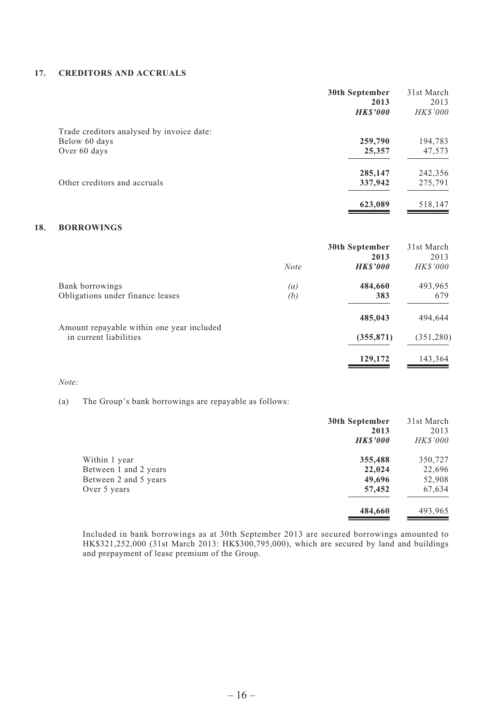#### **17. CREDITORS AND ACCRUALS**

|                                           | 30th September<br>2013<br><b>HKS'000</b> | 31st March<br>2013<br><b>HKS'000</b> |
|-------------------------------------------|------------------------------------------|--------------------------------------|
| Trade creditors analysed by invoice date: |                                          |                                      |
| Below 60 days                             | 259,790                                  | 194,783                              |
| Over 60 days                              | 25,357                                   | 47,573                               |
|                                           | 285,147                                  | 242,356                              |
| Other creditors and accruals              | 337,942                                  | 275,791                              |
|                                           | 623,089                                  | 518,147                              |

## **18. BORROWINGS**

|                                           |             | 30th September         | 31st March              |
|-------------------------------------------|-------------|------------------------|-------------------------|
|                                           | <b>Note</b> | 2013<br><b>HKS'000</b> | 2013<br><i>HK\$'000</i> |
| Bank borrowings                           | (a)         | 484,660                | 493,965                 |
| Obligations under finance leases          | (b)         | 383                    | 679                     |
| Amount repayable within one year included |             | 485,043                | 494,644                 |
| in current liabilities                    |             | (355, 871)             | (351, 280)              |
|                                           |             | 129,172                | 143,364                 |

#### *Note:*

(a) The Group's bank borrowings are repayable as follows:

|                       | 30th September<br>2013 | 31st March<br>2013 |
|-----------------------|------------------------|--------------------|
|                       | <b>HKS'000</b>         | <b>HKS'000</b>     |
| Within 1 year         | 355,488                | 350,727            |
| Between 1 and 2 years | 22,024                 | 22,696             |
| Between 2 and 5 years | 49,696                 | 52,908             |
| Over 5 years          | 57,452                 | 67,634             |
|                       | 484,660                | 493,965            |

Included in bank borrowings as at 30th September 2013 are secured borrowings amounted to HK\$321,252,000 (31st March 2013: HK\$300,795,000), which are secured by land and buildings and prepayment of lease premium of the Group.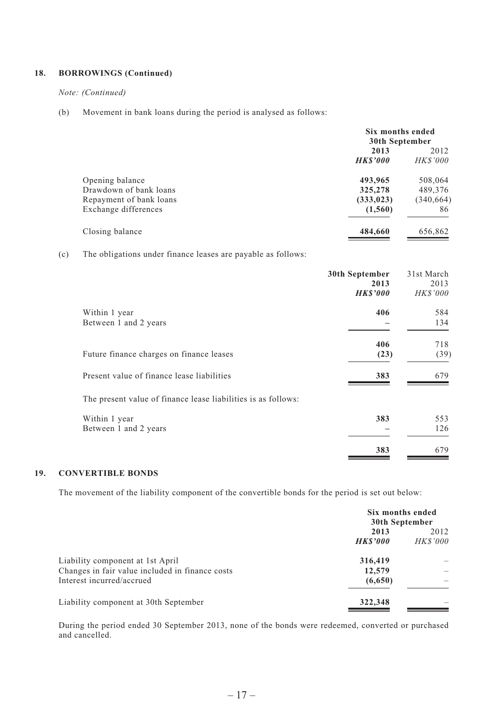## **18. BORROWINGS (Continued)**

#### *Note: (Continued)*

(b) Movement in bank loans during the period is analysed as follows:

|                         | Six months ended<br>30th September |                 |  |
|-------------------------|------------------------------------|-----------------|--|
|                         | 2013                               | 2012            |  |
|                         | <b>HKS'000</b>                     | <i>HK\$'000</i> |  |
| Opening balance         | 493,965                            | 508,064         |  |
| Drawdown of bank loans  | 325,278                            | 489,376         |  |
| Repayment of bank loans | (333, 023)                         | (340, 664)      |  |
| Exchange differences    | (1,560)                            | 86              |  |
| Closing balance         | 484,660                            | 656,862         |  |

(c) The obligations under finance leases are payable as follows:

|                                                               | 30th September<br>2013 | 31st March<br>2013 |
|---------------------------------------------------------------|------------------------|--------------------|
|                                                               | <b>HKS'000</b>         | <b>HK\$'000</b>    |
| Within 1 year                                                 | 406                    | 584                |
| Between 1 and 2 years                                         |                        | 134                |
|                                                               | 406                    | 718                |
| Future finance charges on finance leases                      | (23)                   | (39)               |
| Present value of finance lease liabilities                    | 383                    | 679                |
| The present value of finance lease liabilities is as follows: |                        |                    |
| Within 1 year                                                 | 383                    | 553                |
| Between 1 and 2 years                                         |                        | 126                |
|                                                               | 383                    | 679                |

#### **19. CONVERTIBLE BONDS**

The movement of the liability component of the convertible bonds for the period is set out below:

|                                                 | Six months ended<br>30th September |                |  |
|-------------------------------------------------|------------------------------------|----------------|--|
|                                                 | 2013                               | 2012           |  |
|                                                 | <b>HKS'000</b>                     | <b>HKS'000</b> |  |
| Liability component at 1st April                | 316,419                            |                |  |
| Changes in fair value included in finance costs | 12.579                             |                |  |
| Interest incurred/accrued                       | (6,650)                            |                |  |
| Liability component at 30th September           | 322,348                            |                |  |
|                                                 |                                    |                |  |

During the period ended 30 September 2013, none of the bonds were redeemed, converted or purchased and cancelled.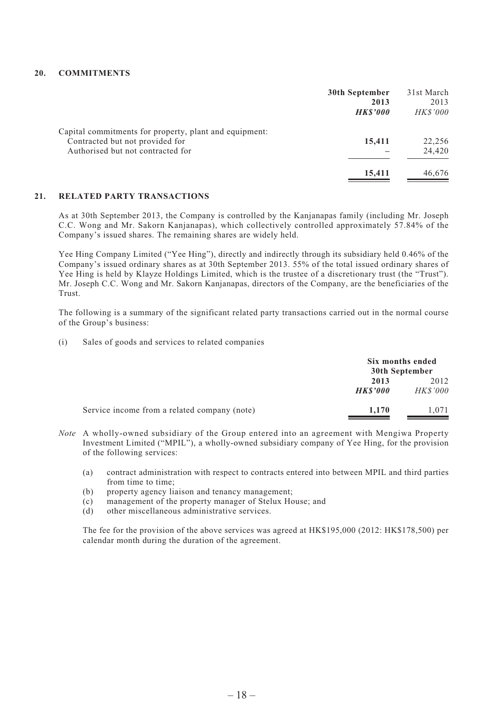#### **20. COMMITMENTS**

|                                                                                                                                | 30th September<br>2013<br><b>HKS'000</b> | 31st March<br>2013<br><b>HKS'000</b> |
|--------------------------------------------------------------------------------------------------------------------------------|------------------------------------------|--------------------------------------|
| Capital commitments for property, plant and equipment:<br>Contracted but not provided for<br>Authorised but not contracted for | 15,411                                   | 22,256<br>24,420                     |
|                                                                                                                                | 15,411                                   | 46,676                               |

#### **21. RELATED PARTY TRANSACTIONS**

As at 30th September 2013, the Company is controlled by the Kanjanapas family (including Mr. Joseph C.C. Wong and Mr. Sakorn Kanjanapas), which collectively controlled approximately 57.84% of the Company's issued shares. The remaining shares are widely held.

Yee Hing Company Limited ("Yee Hing"), directly and indirectly through its subsidiary held 0.46% of the Company's issued ordinary shares as at 30th September 2013. 55% of the total issued ordinary shares of Yee Hing is held by Klayze Holdings Limited, which is the trustee of a discretionary trust (the "Trust"). Mr. Joseph C.C. Wong and Mr. Sakorn Kanjanapas, directors of the Company, are the beneficiaries of the Trust.

The following is a summary of the significant related party transactions carried out in the normal course of the Group's business:

(i) Sales of goods and services to related companies

|                                              |                        | Six months ended<br>30th September |  |
|----------------------------------------------|------------------------|------------------------------------|--|
|                                              | 2013<br><b>HKS'000</b> | 2012<br><b>HKS'000</b>             |  |
| Service income from a related company (note) | 1.170                  | 1.071                              |  |

- *Note* A wholly-owned subsidiary of the Group entered into an agreement with Mengiwa Property Investment Limited ("MPIL"), a wholly-owned subsidiary company of Yee Hing, for the provision of the following services:
	- (a) contract administration with respect to contracts entered into between MPIL and third parties from time to time;
	- (b) property agency liaison and tenancy management;
	- (c) management of the property manager of Stelux House; and
	- (d) other miscellaneous administrative services.

The fee for the provision of the above services was agreed at HK\$195,000 (2012: HK\$178,500) per calendar month during the duration of the agreement.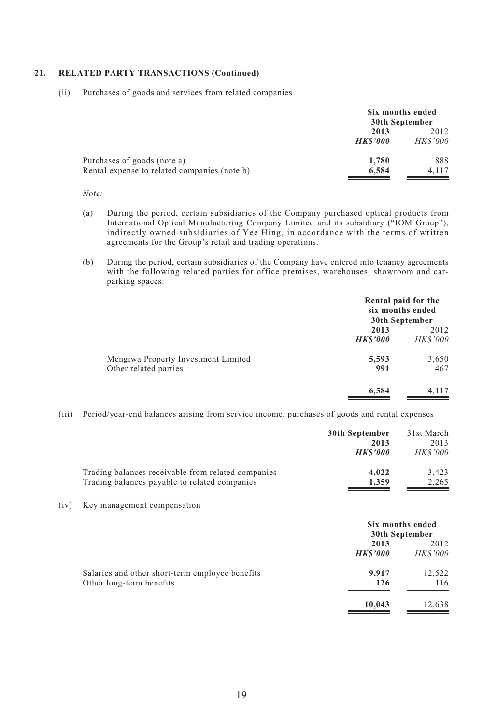#### **21. RELATED PARTY TRANSACTIONS (Continued)**

(ii) Purchases of goods and services from related companies

|                                              | Six months ended<br>30th September |                 |
|----------------------------------------------|------------------------------------|-----------------|
|                                              | 2013                               |                 |
|                                              | <b>HKS'000</b>                     | <i>HK\$'000</i> |
| Purchases of goods (note a)                  | 1,780                              | 888             |
| Rental expense to related companies (note b) | 6,584                              | 4.117           |

#### *Note:*

- (a) During the period, certain subsidiaries of the Company purchased optical products from International Optical Manufacturing Company Limited and its subsidiary ("IOM Group"), indirectly owned subsidiaries of Yee Hing, in accordance with the terms of written agreements for the Group's retail and trading operations.
- (b) During the period, certain subsidiaries of the Company have entered into tenancy agreements with the following related parties for office premises, warehouses, showroom and carparking spaces:

|                                                              |                        | Rental paid for the<br>six months ended<br>30th September |
|--------------------------------------------------------------|------------------------|-----------------------------------------------------------|
|                                                              | 2013<br><b>HKS'000</b> | 2012<br><b>HKS'000</b>                                    |
| Mengiwa Property Investment Limited<br>Other related parties | 5,593<br>991           | 3,650<br>467                                              |
|                                                              | 6,584                  | 4.117                                                     |

(iii) Period/year-end balances arising from service income, purchases of goods and rental expenses

|                                                    | 30th September | 31st March     |
|----------------------------------------------------|----------------|----------------|
|                                                    | 2013           | 2013           |
|                                                    | <b>HKS'000</b> | <b>HKS'000</b> |
| Trading balances receivable from related companies | 4.022          | 3.423          |
| Trading balances payable to related companies      | 1.359          | 2.265          |

(iv) Key management compensation

|                                                                             | Six months ended<br>30th September |                         |
|-----------------------------------------------------------------------------|------------------------------------|-------------------------|
|                                                                             | 2013<br><b>HKS'000</b>             | 2012<br><b>HK\$'000</b> |
| Salaries and other short-term employee benefits<br>Other long-term benefits | 9.917<br>126                       | 12,522<br>116           |
|                                                                             | 10,043                             | 12,638                  |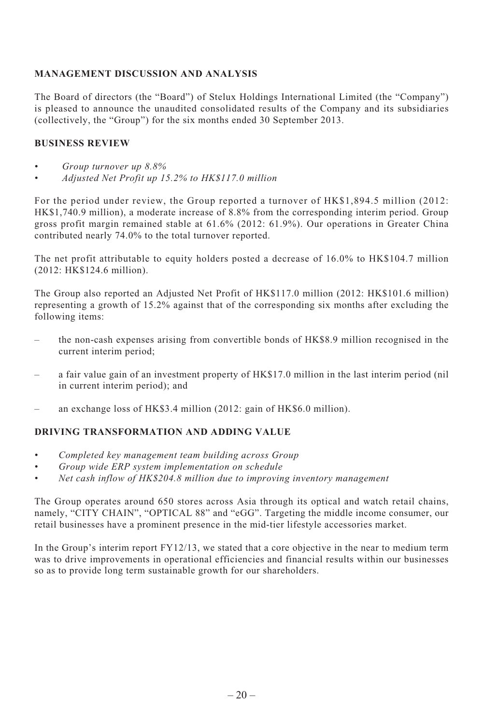# **MANAGEMENT DISCUSSION AND ANALYSIS**

The Board of directors (the "Board") of Stelux Holdings International Limited (the "Company") is pleased to announce the unaudited consolidated results of the Company and its subsidiaries (collectively, the "Group") for the six months ended 30 September 2013.

## **BUSINESS REVIEW**

- *Group turnover up 8.8%*
- *Adjusted Net Profit up 15.2% to HK\$117.0 million*

For the period under review, the Group reported a turnover of HK\$1,894.5 million (2012: HK\$1,740.9 million), a moderate increase of 8.8% from the corresponding interim period. Group gross profit margin remained stable at 61.6% (2012: 61.9%). Our operations in Greater China contributed nearly 74.0% to the total turnover reported.

The net profit attributable to equity holders posted a decrease of 16.0% to HK\$104.7 million (2012: HK\$124.6 million).

The Group also reported an Adjusted Net Profit of HK\$117.0 million (2012: HK\$101.6 million) representing a growth of 15.2% against that of the corresponding six months after excluding the following items:

- the non-cash expenses arising from convertible bonds of HK\$8.9 million recognised in the current interim period;
- a fair value gain of an investment property of HK\$17.0 million in the last interim period (nil in current interim period); and
- an exchange loss of HK\$3.4 million (2012: gain of HK\$6.0 million).

## **DRIVING TRANSFORMATION AND ADDING VALUE**

- *Completed key management team building across Group*
- *Group wide ERP system implementation on schedule*
- *Net cash inflow of HK\$204.8 million due to improving inventory management*

The Group operates around 650 stores across Asia through its optical and watch retail chains, namely, "CITY CHAIN", "OPTICAL 88" and "eGG". Targeting the middle income consumer, our retail businesses have a prominent presence in the mid-tier lifestyle accessories market.

In the Group's interim report FY12/13, we stated that a core objective in the near to medium term was to drive improvements in operational efficiencies and financial results within our businesses so as to provide long term sustainable growth for our shareholders.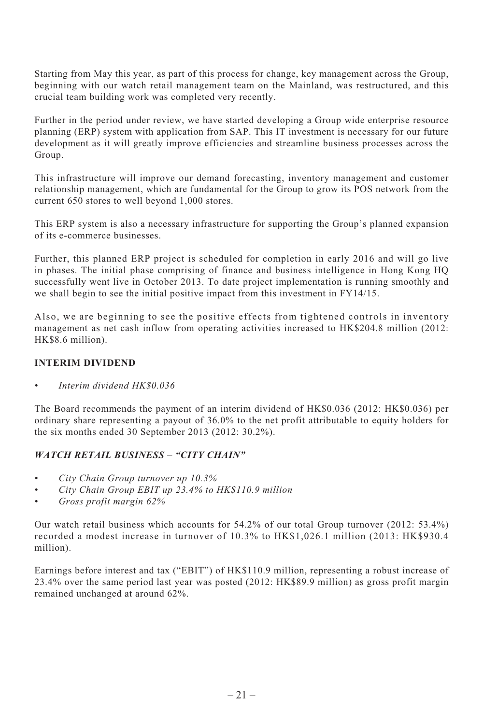Starting from May this year, as part of this process for change, key management across the Group, beginning with our watch retail management team on the Mainland, was restructured, and this crucial team building work was completed very recently.

Further in the period under review, we have started developing a Group wide enterprise resource planning (ERP) system with application from SAP. This IT investment is necessary for our future development as it will greatly improve efficiencies and streamline business processes across the Group.

This infrastructure will improve our demand forecasting, inventory management and customer relationship management, which are fundamental for the Group to grow its POS network from the current 650 stores to well beyond 1,000 stores.

This ERP system is also a necessary infrastructure for supporting the Group's planned expansion of its e-commerce businesses.

Further, this planned ERP project is scheduled for completion in early 2016 and will go live in phases. The initial phase comprising of finance and business intelligence in Hong Kong HQ successfully went live in October 2013. To date project implementation is running smoothly and we shall begin to see the initial positive impact from this investment in FY14/15.

Also, we are beginning to see the positive effects from tightened controls in inventory management as net cash inflow from operating activities increased to HK\$204.8 million (2012: HK\$8.6 million).

## **INTERIM DIVIDEND**

*• Interim dividend HK\$0.036*

The Board recommends the payment of an interim dividend of HK\$0.036 (2012: HK\$0.036) per ordinary share representing a payout of 36.0% to the net profit attributable to equity holders for the six months ended 30 September 2013 (2012: 30.2%).

#### *WATCH RETAIL BUSINESS – "CITY CHAIN"*

- *City Chain Group turnover up 10.3%*
- *City Chain Group EBIT up 23.4% to HK\$110.9 million*
- *Gross profit margin 62%*

Our watch retail business which accounts for 54.2% of our total Group turnover (2012: 53.4%) recorded a modest increase in turnover of 10.3% to HK\$1,026.1 million (2013: HK\$930.4 million).

Earnings before interest and tax ("EBIT") of HK\$110.9 million, representing a robust increase of 23.4% over the same period last year was posted (2012: HK\$89.9 million) as gross profit margin remained unchanged at around 62%.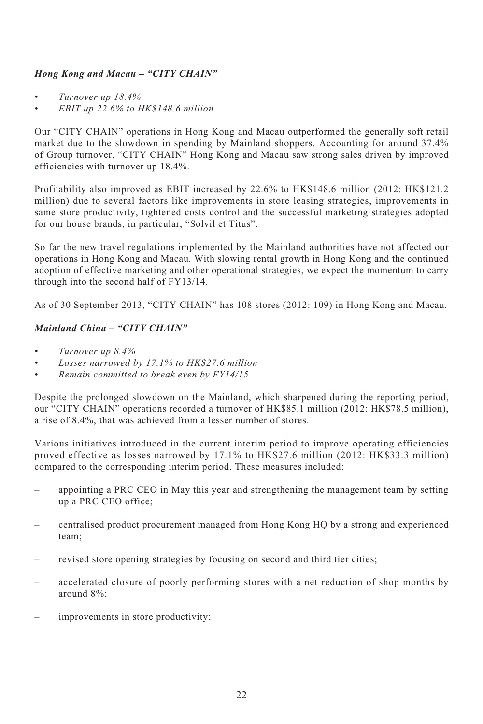# *Hong Kong and Macau – "CITY CHAIN"*

- *Turnover up 18.4%*
- *EBIT up 22.6% to HK\$148.6 million*

Our "CITY CHAIN" operations in Hong Kong and Macau outperformed the generally soft retail market due to the slowdown in spending by Mainland shoppers. Accounting for around 37.4% of Group turnover, "CITY CHAIN" Hong Kong and Macau saw strong sales driven by improved efficiencies with turnover up 18.4%.

Profitability also improved as EBIT increased by 22.6% to HK\$148.6 million (2012: HK\$121.2 million) due to several factors like improvements in store leasing strategies, improvements in same store productivity, tightened costs control and the successful marketing strategies adopted for our house brands, in particular, "Solvil et Titus".

So far the new travel regulations implemented by the Mainland authorities have not affected our operations in Hong Kong and Macau. With slowing rental growth in Hong Kong and the continued adoption of effective marketing and other operational strategies, we expect the momentum to carry through into the second half of FY13/14.

As of 30 September 2013, "CITY CHAIN" has 108 stores (2012: 109) in Hong Kong and Macau.

# *Mainland China – "CITY CHAIN"*

- *Turnover up 8.4%*
- *Losses narrowed by 17.1% to HK\$27.6 million*
- *Remain committed to break even by FY14/15*

Despite the prolonged slowdown on the Mainland, which sharpened during the reporting period, our "CITY CHAIN" operations recorded a turnover of HK\$85.1 million (2012: HK\$78.5 million), a rise of 8.4%, that was achieved from a lesser number of stores.

Various initiatives introduced in the current interim period to improve operating efficiencies proved effective as losses narrowed by 17.1% to HK\$27.6 million (2012: HK\$33.3 million) compared to the corresponding interim period. These measures included:

- appointing a PRC CEO in May this year and strengthening the management team by setting up a PRC CEO office;
- centralised product procurement managed from Hong Kong HQ by a strong and experienced team;
- revised store opening strategies by focusing on second and third tier cities;
- accelerated closure of poorly performing stores with a net reduction of shop months by around 8%;
- improvements in store productivity;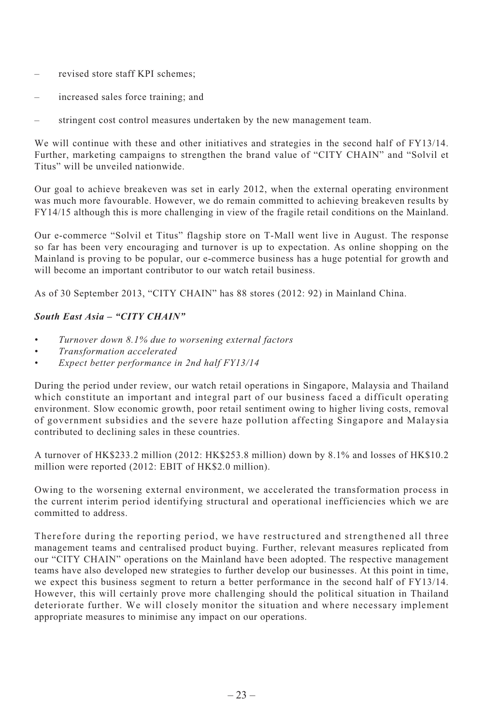- revised store staff KPI schemes;
- increased sales force training; and
- stringent cost control measures undertaken by the new management team.

We will continue with these and other initiatives and strategies in the second half of FY13/14. Further, marketing campaigns to strengthen the brand value of "CITY CHAIN" and "Solvil et Titus" will be unveiled nationwide.

Our goal to achieve breakeven was set in early 2012, when the external operating environment was much more favourable. However, we do remain committed to achieving breakeven results by FY14/15 although this is more challenging in view of the fragile retail conditions on the Mainland.

Our e-commerce "Solvil et Titus" flagship store on T-Mall went live in August. The response so far has been very encouraging and turnover is up to expectation. As online shopping on the Mainland is proving to be popular, our e-commerce business has a huge potential for growth and will become an important contributor to our watch retail business.

As of 30 September 2013, "CITY CHAIN" has 88 stores (2012: 92) in Mainland China.

## *South East Asia – "CITY CHAIN"*

- *Turnover down 8.1% due to worsening external factors*
- *Transformation accelerated*
- *Expect better performance in 2nd half FY13/14*

During the period under review, our watch retail operations in Singapore, Malaysia and Thailand which constitute an important and integral part of our business faced a difficult operating environment. Slow economic growth, poor retail sentiment owing to higher living costs, removal of government subsidies and the severe haze pollution affecting Singapore and Malaysia contributed to declining sales in these countries.

A turnover of HK\$233.2 million (2012: HK\$253.8 million) down by 8.1% and losses of HK\$10.2 million were reported (2012: EBIT of HK\$2.0 million).

Owing to the worsening external environment, we accelerated the transformation process in the current interim period identifying structural and operational inefficiencies which we are committed to address.

Therefore during the reporting period, we have restructured and strengthened all three management teams and centralised product buying. Further, relevant measures replicated from our "CITY CHAIN" operations on the Mainland have been adopted. The respective management teams have also developed new strategies to further develop our businesses. At this point in time, we expect this business segment to return a better performance in the second half of FY13/14. However, this will certainly prove more challenging should the political situation in Thailand deteriorate further. We will closely monitor the situation and where necessary implement appropriate measures to minimise any impact on our operations.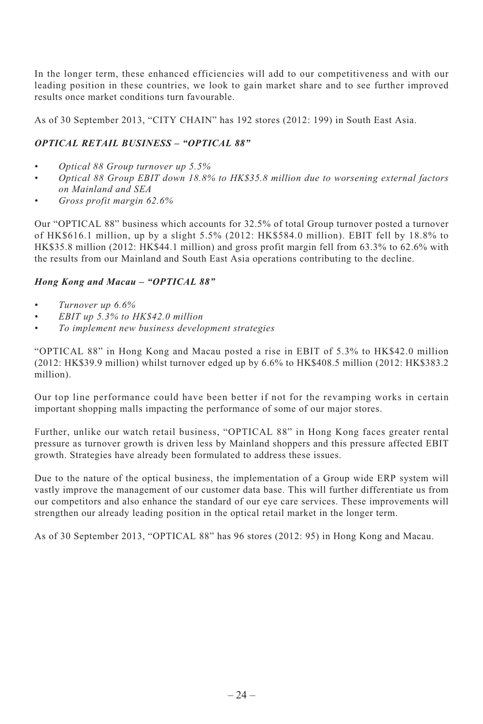In the longer term, these enhanced efficiencies will add to our competitiveness and with our leading position in these countries, we look to gain market share and to see further improved results once market conditions turn favourable.

As of 30 September 2013, "CITY CHAIN" has 192 stores (2012: 199) in South East Asia.

# *OPTICAL RETAIL BUSINESS – "OPTICAL 88"*

- *Optical 88 Group turnover up 5.5%*
- *Optical 88 Group EBIT down 18.8% to HK\$35.8 million due to worsening external factors on Mainland and SEA*
- *Gross profit margin 62.6%*

Our "OPTICAL 88" business which accounts for 32.5% of total Group turnover posted a turnover of HK\$616.1 million, up by a slight 5.5% (2012: HK\$584.0 million). EBIT fell by 18.8% to HK\$35.8 million (2012: HK\$44.1 million) and gross profit margin fell from 63.3% to 62.6% with the results from our Mainland and South East Asia operations contributing to the decline.

#### *Hong Kong and Macau – "OPTICAL 88"*

- *Turnover up 6.6%*
- *EBIT up 5.3% to HK\$42.0 million*
- *To implement new business development strategies*

"OPTICAL 88" in Hong Kong and Macau posted a rise in EBIT of 5.3% to HK\$42.0 million (2012: HK\$39.9 million) whilst turnover edged up by 6.6% to HK\$408.5 million (2012: HK\$383.2 million).

Our top line performance could have been better if not for the revamping works in certain important shopping malls impacting the performance of some of our major stores.

Further, unlike our watch retail business, "OPTICAL 88" in Hong Kong faces greater rental pressure as turnover growth is driven less by Mainland shoppers and this pressure affected EBIT growth. Strategies have already been formulated to address these issues.

Due to the nature of the optical business, the implementation of a Group wide ERP system will vastly improve the management of our customer data base. This will further differentiate us from our competitors and also enhance the standard of our eye care services. These improvements will strengthen our already leading position in the optical retail market in the longer term.

As of 30 September 2013, "OPTICAL 88" has 96 stores (2012: 95) in Hong Kong and Macau.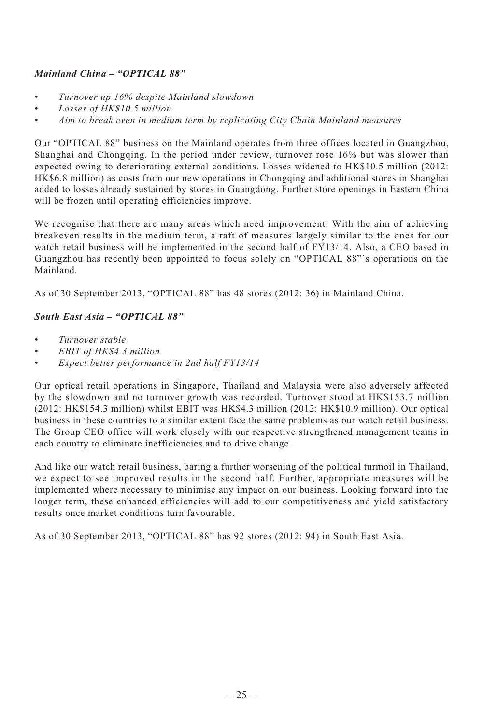# *Mainland China – "OPTICAL 88"*

- *Turnover up 16% despite Mainland slowdown*
- *Losses of HK\$10.5 million*
- *Aim to break even in medium term by replicating City Chain Mainland measures*

Our "OPTICAL 88" business on the Mainland operates from three offices located in Guangzhou, Shanghai and Chongqing. In the period under review, turnover rose 16% but was slower than expected owing to deteriorating external conditions. Losses widened to HK\$10.5 million (2012: HK\$6.8 million) as costs from our new operations in Chongqing and additional stores in Shanghai added to losses already sustained by stores in Guangdong. Further store openings in Eastern China will be frozen until operating efficiencies improve.

We recognise that there are many areas which need improvement. With the aim of achieving breakeven results in the medium term, a raft of measures largely similar to the ones for our watch retail business will be implemented in the second half of FY13/14. Also, a CEO based in Guangzhou has recently been appointed to focus solely on "OPTICAL 88"'s operations on the Mainland.

As of 30 September 2013, "OPTICAL 88" has 48 stores (2012: 36) in Mainland China.

## *South East Asia – "OPTICAL 88"*

- *Turnover stable*
- *EBIT of HK\$4.3 million*
- *Expect better performance in 2nd half FY13/14*

Our optical retail operations in Singapore, Thailand and Malaysia were also adversely affected by the slowdown and no turnover growth was recorded. Turnover stood at HK\$153.7 million (2012: HK\$154.3 million) whilst EBIT was HK\$4.3 million (2012: HK\$10.9 million). Our optical business in these countries to a similar extent face the same problems as our watch retail business. The Group CEO office will work closely with our respective strengthened management teams in each country to eliminate inefficiencies and to drive change.

And like our watch retail business, baring a further worsening of the political turmoil in Thailand, we expect to see improved results in the second half. Further, appropriate measures will be implemented where necessary to minimise any impact on our business. Looking forward into the longer term, these enhanced efficiencies will add to our competitiveness and yield satisfactory results once market conditions turn favourable.

As of 30 September 2013, "OPTICAL 88" has 92 stores (2012: 94) in South East Asia.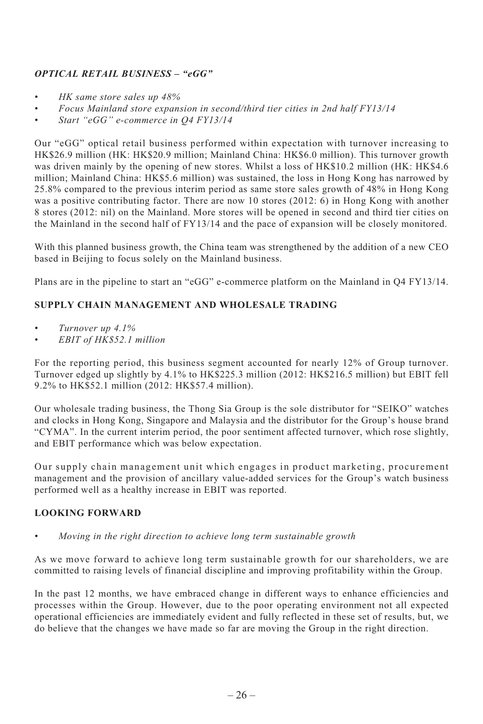# *OPTICAL RETAIL BUSINESS – "eGG"*

- *HK same store sales up 48%*
- *Focus Mainland store expansion in second/third tier cities in 2nd half FY13/14*
- *Start "eGG" e-commerce in Q4 FY13/14*

Our "eGG" optical retail business performed within expectation with turnover increasing to HK\$26.9 million (HK: HK\$20.9 million; Mainland China: HK\$6.0 million). This turnover growth was driven mainly by the opening of new stores. Whilst a loss of HK\$10.2 million (HK: HK\$4.6) million; Mainland China: HK\$5.6 million) was sustained, the loss in Hong Kong has narrowed by 25.8% compared to the previous interim period as same store sales growth of 48% in Hong Kong was a positive contributing factor. There are now 10 stores (2012: 6) in Hong Kong with another 8 stores (2012: nil) on the Mainland. More stores will be opened in second and third tier cities on the Mainland in the second half of FY13/14 and the pace of expansion will be closely monitored.

With this planned business growth, the China team was strengthened by the addition of a new CEO based in Beijing to focus solely on the Mainland business.

Plans are in the pipeline to start an "eGG" e-commerce platform on the Mainland in Q4 FY13/14.

# **SUPPLY CHAIN MANAGEMENT AND WHOLESALE TRADING**

- *Turnover up 4.1%*
- *EBIT of HK\$52.1 million*

For the reporting period, this business segment accounted for nearly 12% of Group turnover. Turnover edged up slightly by 4.1% to HK\$225.3 million (2012: HK\$216.5 million) but EBIT fell 9.2% to HK\$52.1 million (2012: HK\$57.4 million).

Our wholesale trading business, the Thong Sia Group is the sole distributor for "SEIKO" watches and clocks in Hong Kong, Singapore and Malaysia and the distributor for the Group's house brand "CYMA". In the current interim period, the poor sentiment affected turnover, which rose slightly, and EBIT performance which was below expectation.

Our supply chain management unit which engages in product marketing, procurement management and the provision of ancillary value-added services for the Group's watch business performed well as a healthy increase in EBIT was reported.

# **LOOKING FORWARD**

*• Moving in the right direction to achieve long term sustainable growth*

As we move forward to achieve long term sustainable growth for our shareholders, we are committed to raising levels of financial discipline and improving profitability within the Group.

In the past 12 months, we have embraced change in different ways to enhance efficiencies and processes within the Group. However, due to the poor operating environment not all expected operational efficiencies are immediately evident and fully reflected in these set of results, but, we do believe that the changes we have made so far are moving the Group in the right direction.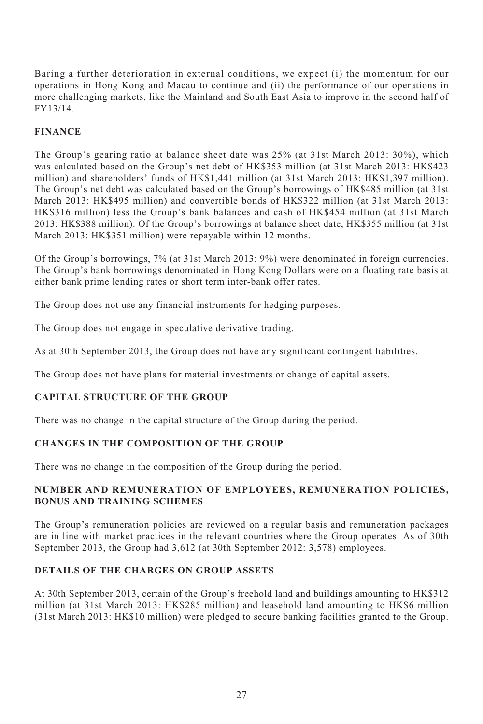Baring a further deterioration in external conditions, we expect (i) the momentum for our operations in Hong Kong and Macau to continue and (ii) the performance of our operations in more challenging markets, like the Mainland and South East Asia to improve in the second half of FY13/14.

# **FINANCE**

The Group's gearing ratio at balance sheet date was 25% (at 31st March 2013: 30%), which was calculated based on the Group's net debt of HK\$353 million (at 31st March 2013: HK\$423 million) and shareholders' funds of HK\$1,441 million (at 31st March 2013: HK\$1,397 million). The Group's net debt was calculated based on the Group's borrowings of HK\$485 million (at 31st March 2013: HK\$495 million) and convertible bonds of HK\$322 million (at 31st March 2013: HK\$316 million) less the Group's bank balances and cash of HK\$454 million (at 31st March 2013: HK\$388 million). Of the Group's borrowings at balance sheet date, HK\$355 million (at 31st March 2013: HK\$351 million) were repayable within 12 months.

Of the Group's borrowings, 7% (at 31st March 2013: 9%) were denominated in foreign currencies. The Group's bank borrowings denominated in Hong Kong Dollars were on a floating rate basis at either bank prime lending rates or short term inter-bank offer rates.

The Group does not use any financial instruments for hedging purposes.

The Group does not engage in speculative derivative trading.

As at 30th September 2013, the Group does not have any significant contingent liabilities.

The Group does not have plans for material investments or change of capital assets.

# **CAPITAL STRUCTURE OF THE GROUP**

There was no change in the capital structure of the Group during the period.

# **CHANGES IN THE COMPOSITION OF THE GROUP**

There was no change in the composition of the Group during the period.

## **NUMBER AND REMUNERATION OF EMPLOYEES, REMUNERATION POLICIES, BONUS AND TRAINING SCHEMES**

The Group's remuneration policies are reviewed on a regular basis and remuneration packages are in line with market practices in the relevant countries where the Group operates. As of 30th September 2013, the Group had 3,612 (at 30th September 2012: 3,578) employees.

# **DETAILS OF THE CHARGES ON GROUP ASSETS**

At 30th September 2013, certain of the Group's freehold land and buildings amounting to HK\$312 million (at 31st March 2013: HK\$285 million) and leasehold land amounting to HK\$6 million (31st March 2013: HK\$10 million) were pledged to secure banking facilities granted to the Group.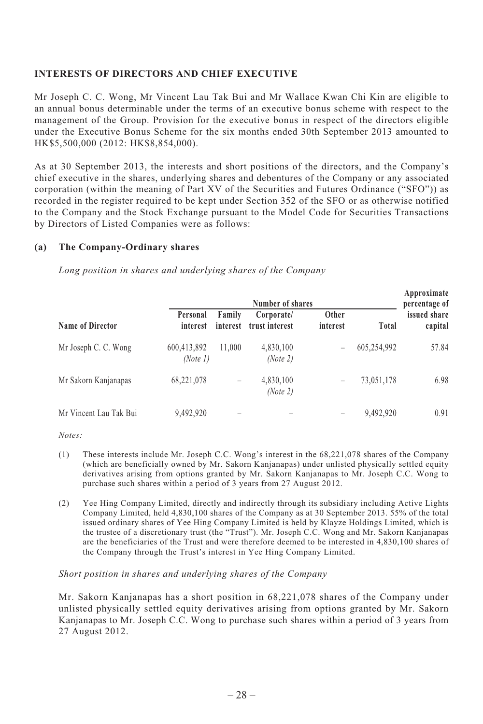## **INTERESTS OF DIRECTORS AND CHIEF EXECUTIVE**

Mr Joseph C. C. Wong, Mr Vincent Lau Tak Bui and Mr Wallace Kwan Chi Kin are eligible to an annual bonus determinable under the terms of an executive bonus scheme with respect to the management of the Group. Provision for the executive bonus in respect of the directors eligible under the Executive Bonus Scheme for the six months ended 30th September 2013 amounted to HK\$5,500,000 (2012: HK\$8,854,000).

As at 30 September 2013, the interests and short positions of the directors, and the Company's chief executive in the shares, underlying shares and debentures of the Company or any associated corporation (within the meaning of Part XV of the Securities and Futures Ordinance ("SFO")) as recorded in the register required to be kept under Section 352 of the SFO or as otherwise notified to the Company and the Stock Exchange pursuant to the Model Code for Securities Transactions by Directors of Listed Companies were as follows:

#### **(a) The Company-Ordinary shares**

*Long position in shares and underlying shares of the Company*

|                        | Number of shares        |                          |                              |                   | Approximate<br>percentage of |                         |
|------------------------|-------------------------|--------------------------|------------------------------|-------------------|------------------------------|-------------------------|
| Name of Director       | Personal<br>interest    | Family<br>interest       | Corporate/<br>trust interest | Other<br>interest | Total                        | issued share<br>capital |
| Mr Joseph C. C. Wong   | 600,413,892<br>(Note 1) | 11.000                   | 4,830,100<br>(Note 2)        | -                 | 605,254,992                  | 57.84                   |
| Mr Sakorn Kanjanapas   | 68,221,078              | -                        | 4,830,100<br>(Note 2)        | -                 | 73,051,178                   | 6.98                    |
| Mr Vincent Lau Tak Bui | 9,492,920               | $\overline{\phantom{a}}$ |                              | -                 | 9,492,920                    | 0.91                    |

*Notes:*

- (1) These interests include Mr. Joseph C.C. Wong's interest in the 68,221,078 shares of the Company (which are beneficially owned by Mr. Sakorn Kanjanapas) under unlisted physically settled equity derivatives arising from options granted by Mr. Sakorn Kanjanapas to Mr. Joseph C.C. Wong to purchase such shares within a period of 3 years from 27 August 2012.
- (2) Yee Hing Company Limited, directly and indirectly through its subsidiary including Active Lights Company Limited, held 4,830,100 shares of the Company as at 30 September 2013. 55% of the total issued ordinary shares of Yee Hing Company Limited is held by Klayze Holdings Limited, which is the trustee of a discretionary trust (the "Trust"). Mr. Joseph C.C. Wong and Mr. Sakorn Kanjanapas are the beneficiaries of the Trust and were therefore deemed to be interested in 4,830,100 shares of the Company through the Trust's interest in Yee Hing Company Limited.

#### *Short position in shares and underlying shares of the Company*

Mr. Sakorn Kanjanapas has a short position in 68,221,078 shares of the Company under unlisted physically settled equity derivatives arising from options granted by Mr. Sakorn Kanjanapas to Mr. Joseph C.C. Wong to purchase such shares within a period of 3 years from 27 August 2012.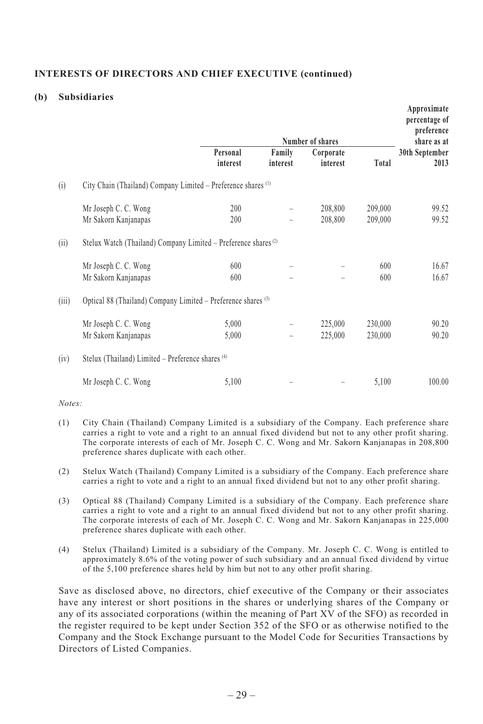## **INTERESTS OF DIRECTORS AND CHIEF EXECUTIVE (continued)**

#### **(b) Subsidiaries**

|       |                                                                            |                      |                    | Number of shares      |         | Approximate<br>percentage of<br>preference<br>share as at |
|-------|----------------------------------------------------------------------------|----------------------|--------------------|-----------------------|---------|-----------------------------------------------------------|
|       |                                                                            | Personal<br>interest | Family<br>interest | Corporate<br>interest | Total   | 30th September<br>2013                                    |
| (i)   | City Chain (Thailand) Company Limited - Preference shares <sup>(1)</sup>   |                      |                    |                       |         |                                                           |
|       | Mr Joseph C. C. Wong                                                       | 200                  |                    | 208,800               | 209,000 | 99.52                                                     |
|       | Mr Sakorn Kanjanapas                                                       | 200                  |                    | 208,800               | 209,000 | 99.52                                                     |
| (ii)  | Stelux Watch (Thailand) Company Limited - Preference shares <sup>(2)</sup> |                      |                    |                       |         |                                                           |
|       | Mr Joseph C. C. Wong                                                       | 600                  |                    |                       | 600     | 16.67                                                     |
|       | Mr Sakorn Kanjanapas                                                       | 600                  |                    |                       | 600     | 16.67                                                     |
| (iii) | Optical 88 (Thailand) Company Limited – Preference shares (3)              |                      |                    |                       |         |                                                           |
|       | Mr Joseph C. C. Wong                                                       | 5,000                |                    | 225,000               | 230,000 | 90.20                                                     |
|       | Mr Sakorn Kanjanapas                                                       | 5,000                |                    | 225,000               | 230,000 | 90.20                                                     |
| (iv)  | Stelux (Thailand) Limited - Preference shares (4)                          |                      |                    |                       |         |                                                           |
|       | Mr Joseph C. C. Wong                                                       | 5,100                |                    |                       | 5,100   | 100.00                                                    |

*Notes:*

- (1) City Chain (Thailand) Company Limited is a subsidiary of the Company. Each preference share carries a right to vote and a right to an annual fixed dividend but not to any other profit sharing. The corporate interests of each of Mr. Joseph C. C. Wong and Mr. Sakorn Kanjanapas in 208,800 preference shares duplicate with each other.
- (2) Stelux Watch (Thailand) Company Limited is a subsidiary of the Company. Each preference share carries a right to vote and a right to an annual fixed dividend but not to any other profit sharing.
- (3) Optical 88 (Thailand) Company Limited is a subsidiary of the Company. Each preference share carries a right to vote and a right to an annual fixed dividend but not to any other profit sharing. The corporate interests of each of Mr. Joseph C. C. Wong and Mr. Sakorn Kanjanapas in 225,000 preference shares duplicate with each other.
- (4) Stelux (Thailand) Limited is a subsidiary of the Company. Mr. Joseph C. C. Wong is entitled to approximately 8.6% of the voting power of such subsidiary and an annual fixed dividend by virtue of the 5,100 preference shares held by him but not to any other profit sharing.

Save as disclosed above, no directors, chief executive of the Company or their associates have any interest or short positions in the shares or underlying shares of the Company or any of its associated corporations (within the meaning of Part XV of the SFO) as recorded in the register required to be kept under Section 352 of the SFO or as otherwise notified to the Company and the Stock Exchange pursuant to the Model Code for Securities Transactions by Directors of Listed Companies.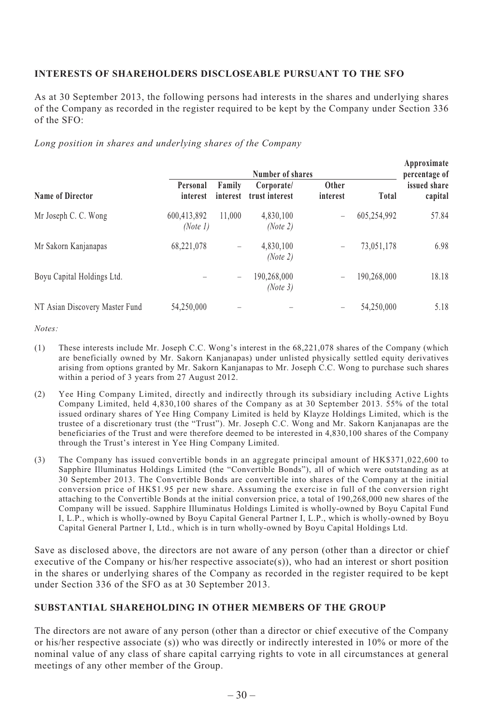# **INTERESTS OF SHAREHOLDERS DISCLOSEABLE PURSUANT TO THE SFO**

As at 30 September 2013, the following persons had interests in the shares and underlying shares of the Company as recorded in the register required to be kept by the Company under Section 336 of the SFO:

 $\cdot$ 

*Long position in shares and underlying shares of the Company*

| Name of Director               | Number of shares        |                    |                              |                   |             | Approximate<br>percentage of |
|--------------------------------|-------------------------|--------------------|------------------------------|-------------------|-------------|------------------------------|
|                                | Personal<br>interest    | Family<br>interest | Corporate/<br>trust interest | Other<br>interest | Total       | issued share<br>capital      |
| Mr Joseph C. C. Wong           | 600,413,892<br>(Note 1) | 11.000             | 4,830,100<br>(Note 2)        | -                 | 605,254,992 | 57.84                        |
| Mr Sakorn Kanjanapas           | 68,221,078              | -                  | 4,830,100<br>(Note 2)        | -                 | 73,051,178  | 6.98                         |
| Boyu Capital Holdings Ltd.     |                         | -                  | 190,268,000<br>(Note 3)      | -                 | 190,268,000 | 18.18                        |
| NT Asian Discovery Master Fund | 54,250,000              |                    |                              |                   | 54,250,000  | 5.18                         |

*Notes:*

- (1) These interests include Mr. Joseph C.C. Wong's interest in the 68,221,078 shares of the Company (which are beneficially owned by Mr. Sakorn Kanjanapas) under unlisted physically settled equity derivatives arising from options granted by Mr. Sakorn Kanjanapas to Mr. Joseph C.C. Wong to purchase such shares within a period of 3 years from 27 August 2012.
- (2) Yee Hing Company Limited, directly and indirectly through its subsidiary including Active Lights Company Limited, held 4,830,100 shares of the Company as at 30 September 2013. 55% of the total issued ordinary shares of Yee Hing Company Limited is held by Klayze Holdings Limited, which is the trustee of a discretionary trust (the "Trust"). Mr. Joseph C.C. Wong and Mr. Sakorn Kanjanapas are the beneficiaries of the Trust and were therefore deemed to be interested in 4,830,100 shares of the Company through the Trust's interest in Yee Hing Company Limited.
- (3) The Company has issued convertible bonds in an aggregate principal amount of HK\$371,022,600 to Sapphire Illuminatus Holdings Limited (the "Convertible Bonds"), all of which were outstanding as at 30 September 2013. The Convertible Bonds are convertible into shares of the Company at the initial conversion price of HK\$1.95 per new share. Assuming the exercise in full of the conversion right attaching to the Convertible Bonds at the initial conversion price, a total of 190,268,000 new shares of the Company will be issued. Sapphire Illuminatus Holdings Limited is wholly-owned by Boyu Capital Fund I, L.P., which is wholly-owned by Boyu Capital General Partner I, L.P., which is wholly-owned by Boyu Capital General Partner I, Ltd., which is in turn wholly-owned by Boyu Capital Holdings Ltd.

Save as disclosed above, the directors are not aware of any person (other than a director or chief executive of the Company or his/her respective associate(s)), who had an interest or short position in the shares or underlying shares of the Company as recorded in the register required to be kept under Section 336 of the SFO as at 30 September 2013.

## **SUBSTANTIAL SHAREHOLDING IN OTHER MEMBERS OF THE GROUP**

The directors are not aware of any person (other than a director or chief executive of the Company or his/her respective associate (s)) who was directly or indirectly interested in 10% or more of the nominal value of any class of share capital carrying rights to vote in all circumstances at general meetings of any other member of the Group.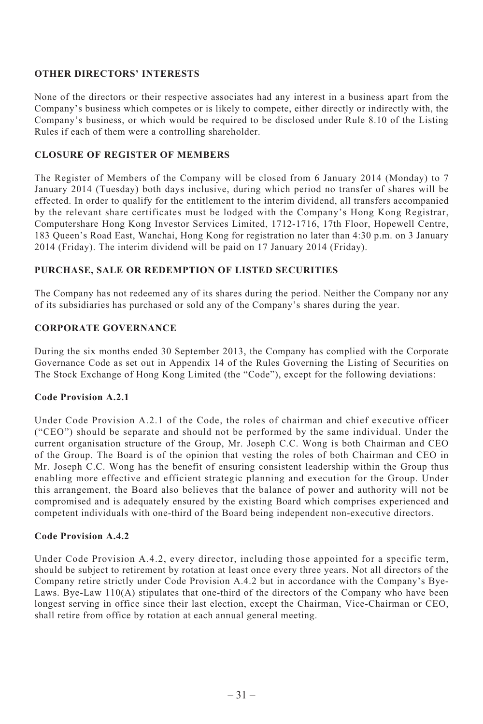#### **OTHER DIRECTORS' INTERESTS**

None of the directors or their respective associates had any interest in a business apart from the Company's business which competes or is likely to compete, either directly or indirectly with, the Company's business, or which would be required to be disclosed under Rule 8.10 of the Listing Rules if each of them were a controlling shareholder.

## **CLOSURE OF REGISTER OF MEMBERS**

The Register of Members of the Company will be closed from 6 January 2014 (Monday) to 7 January 2014 (Tuesday) both days inclusive, during which period no transfer of shares will be effected. In order to qualify for the entitlement to the interim dividend, all transfers accompanied by the relevant share certificates must be lodged with the Company's Hong Kong Registrar, Computershare Hong Kong Investor Services Limited, 1712-1716, 17th Floor, Hopewell Centre, 183 Queen's Road East, Wanchai, Hong Kong for registration no later than 4:30 p.m. on 3 January 2014 (Friday). The interim dividend will be paid on 17 January 2014 (Friday).

## **PURCHASE, SALE OR REDEMPTION OF LISTED SECURITIES**

The Company has not redeemed any of its shares during the period. Neither the Company nor any of its subsidiaries has purchased or sold any of the Company's shares during the year.

## **CORPORATE GOVERNANCE**

During the six months ended 30 September 2013, the Company has complied with the Corporate Governance Code as set out in Appendix 14 of the Rules Governing the Listing of Securities on The Stock Exchange of Hong Kong Limited (the "Code"), except for the following deviations:

## **Code Provision A.2.1**

Under Code Provision A.2.1 of the Code, the roles of chairman and chief executive officer ("CEO") should be separate and should not be performed by the same individual. Under the current organisation structure of the Group, Mr. Joseph C.C. Wong is both Chairman and CEO of the Group. The Board is of the opinion that vesting the roles of both Chairman and CEO in Mr. Joseph C.C. Wong has the benefit of ensuring consistent leadership within the Group thus enabling more effective and efficient strategic planning and execution for the Group. Under this arrangement, the Board also believes that the balance of power and authority will not be compromised and is adequately ensured by the existing Board which comprises experienced and competent individuals with one-third of the Board being independent non-executive directors.

# **Code Provision A.4.2**

Under Code Provision A.4.2, every director, including those appointed for a specific term, should be subject to retirement by rotation at least once every three years. Not all directors of the Company retire strictly under Code Provision A.4.2 but in accordance with the Company's Bye-Laws. Bye-Law  $110(A)$  stipulates that one-third of the directors of the Company who have been longest serving in office since their last election, except the Chairman, Vice-Chairman or CEO, shall retire from office by rotation at each annual general meeting.